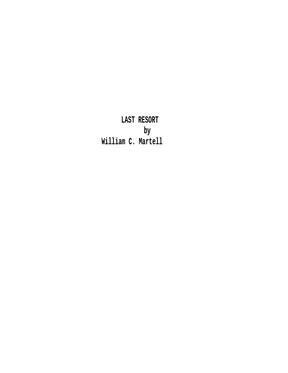**LAST RESORT by William C. Martell**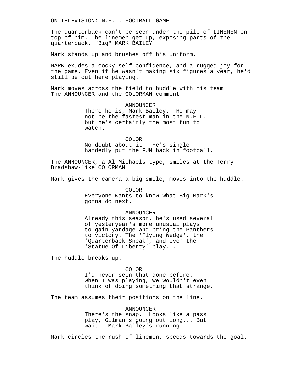ON TELEVISION: N.F.L. FOOTBALL GAME

The quarterback can't be seen under the pile of LINEMEN on top of him. The linemen get up, exposing parts of the quarterback, "Big" MARK BAILEY.

Mark stands up and brushes off his uniform.

MARK exudes a cocky self confidence, and a rugged joy for the game. Even if he wasn't making six figures a year, he'd still be out here playing.

Mark moves across the field to huddle with his team. The ANNOUNCER and the COLORMAN comment.

> ANNOUNCER There he is, Mark Bailey. He may not be the fastest man in the N.F.L. but he's certainly the most fun to watch.

> > COLOR

No doubt about it. He's singlehandedly put the FUN back in football.

The ANNOUNCER, a Al Michaels type, smiles at the Terry Bradshaw-like COLORMAN.

Mark gives the camera a big smile, moves into the huddle.

COLOR Everyone wants to know what Big Mark's gonna do next.

### ANNOUNCER

Already this season, he's used several of yesteryear's more unusual plays to gain yardage and bring the Panthers to victory. The 'Flying Wedge', the 'Quarterback Sneak', and even the 'Statue Of Liberty' play...

The huddle breaks up.

COLOR

I'd never seen that done before. When I was playing, we wouldn't even think of doing something that strange.

The team assumes their positions on the line.

ANNOUNCER There's the snap. Looks like a pass play, Gilman's going out long... But wait! Mark Bailey's running.

Mark circles the rush of linemen, speeds towards the goal.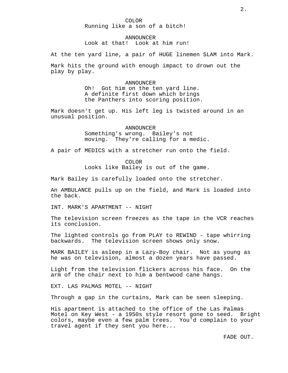### COLOR Running like a son of a bitch!

### ANNOUNCER

Look at that! Look at him run!

At the ten yard line, a pair of HUGE linemen SLAM into Mark.

Mark hits the ground with enough impact to drown out the play by play.

#### ANNOUNCER

Oh! Got him on the ten yard line. A definite first down which brings the Panthers into scoring position.

Mark doesn't get up. His left leg is twisted around in an unusual position.

> ANNOUNCER Something's wrong. Bailey's not moving. They're calling for a medic.

A pair of MEDICS with a stretcher run onto the field.

COLOR

Looks like Bailey is out of the game.

Mark Bailey is carefully loaded onto the stretcher.

An AMBULANCE pulls up on the field, and Mark is loaded into the back.

INT. MARK'S APARTMENT -- NIGHT

The television screen freezes as the tape in the VCR reaches its conclusion.

The lighted controls go from PLAY to REWIND - tape whirring backwards. The television screen shows only snow.

MARK BAILEY is asleep in a Lazy-Boy chair. Not as young as he was on television, almost a dozen years have passed.

Light from the television flickers across his face. On the arm of the chair next to him a bentwood cane hangs.

EXT. LAS PALMAS MOTEL -- NIGHT

Through a gap in the curtains, Mark can be seen sleeping.

His apartment is attached to the office of the Las Palmas Motel on Key West - a 1950s style resort gone to seed. Bright colors, maybe even a few palm trees. You'd complain to your travel agent if they sent you here...

FADE OUT.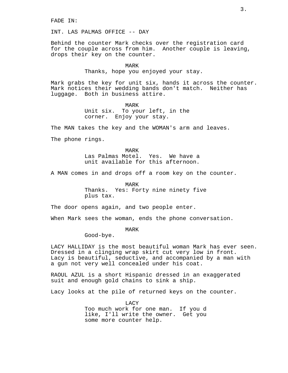FADE IN:

INT. LAS PALMAS OFFICE -- DAY

Behind the counter Mark checks over the registration card for the couple across from him. Another couple is leaving, drops their key on the counter.

#### MARK

Thanks, hope you enjoyed your stay.

Mark grabs the key for unit six, hands it across the counter. Mark notices their wedding bands don't match. Neither has luggage. Both in business attire.

> MARK Unit six. To your left, in the corner. Enjoy your stay.

The MAN takes the key and the WOMAN's arm and leaves.

The phone rings.

MARK Las Palmas Motel. Yes. We have a unit available for this afternoon.

A MAN comes in and drops off a room key on the counter.

MARK Thanks. Yes: Forty nine ninety five plus tax.

The door opens again, and two people enter.

When Mark sees the woman, ends the phone conversation.

MARK

Good-bye.

LACY HALLIDAY is the most beautiful woman Mark has ever seen. Dressed in a clinging wrap skirt cut very low in front. Lacy is beautiful, seductive, and accompanied by a man with a gun not very well concealed under his coat.

RAOUL AZUL is a short Hispanic dressed in an exaggerated suit and enough gold chains to sink a ship.

Lacy looks at the pile of returned keys on the counter.

LACY Too much work for one man. If you d like, I'll write the owner. Get you some more counter help.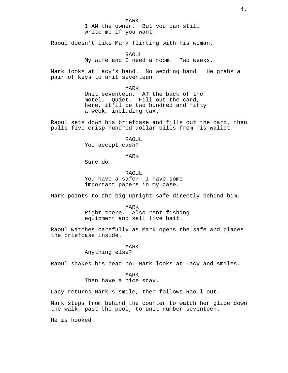MARK I AM the owner. But you can still write me if you want.

Raoul doesn't like Mark flirting with his woman.

RAOUL My wife and I need a room. Two weeks.

Mark looks at Lacy's hand. No wedding band. He grabs a pair of keys to unit seventeen.

> MARK Unit seventeen. AT the back of the motel. Quiet. Fill out the card, here, it'll be two hundred and fifty a week, including tax.

Raoul sets down his briefcase and fills out the card, then pulls five crisp hundred dollar bills from his wallet.

> RAOUL You accept cash?

> > MARK

Sure do.

RAOUL You have a safe? I have some important papers in my case.

Mark points to the big upright safe directly behind him.

MARK Right there. Also rent fishing equipment and sell live bait.

Raoul watches carefully as Mark opens the safe and places the briefcase inside.

MARK

Anything else?

Raoul shakes his head no. Mark looks at Lacy and smiles.

MARK

Then have a nice stay.

Lacy returns Mark's smile, then follows Raoul out.

Mark steps from behind the counter to watch her glide down the walk, past the pool, to unit number seventeen.

He is hooked.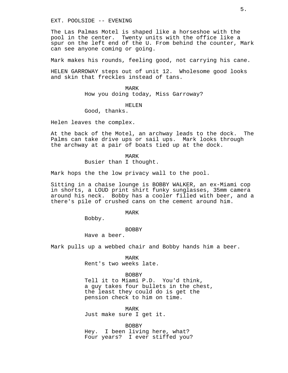EXT. POOLSIDE -- EVENING

The Las Palmas Motel is shaped like a horseshoe with the pool in the center. Twenty units with the office like a spur on the left end of the U. From behind the counter, Mark can see anyone coming or going.

Mark makes his rounds, feeling good, not carrying his cane.

HELEN GARROWAY steps out of unit 12. Wholesome good looks and skin that freckles instead of tans.

> MARK How you doing today, Miss Garroway?

> > HELEN

Good, thanks.

Helen leaves the complex.

At the back of the Motel, an archway leads to the dock. The Palms can take drive ups or sail ups. Mark looks through the archway at a pair of boats tied up at the dock.

> MARK Busier than I thought.

Mark hops the the low privacy wall to the pool.

Sitting in a chaise lounge is BOBBY WALKER, an ex-Miami cop in shorts, a LOUD print shirt funky sunglasses, 35mm camera around his neck. Bobby has a cooler filled with beer, and a there's pile of crushed cans on the cement around him.

MARK

Bobby.

#### BOBBY

Have a beer.

Mark pulls up a webbed chair and Bobby hands him a beer.

MARK Rent's two weeks late.

BOBBY Tell it to Miami P.D. You'd think, a guy takes four bullets in the chest,

the least they could do is get the pension check to him on time.

MARK Just make sure I get it.

BOBBY Hey. I been living here, what? Four years? I ever stiffed you?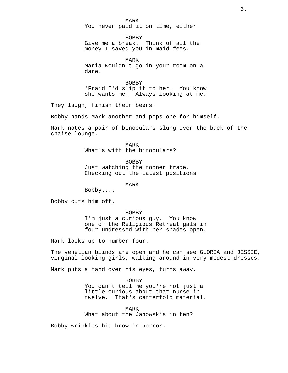MARK You never paid it on time, either.

**BOBBY** Give me a break. Think of all the money I saved you in maid fees.

MARK Maria wouldn't go in your room on a dare.

BOBBY 'Fraid I'd slip it to her. You know she wants me. Always looking at me.

They laugh, finish their beers.

Bobby hands Mark another and pops one for himself.

Mark notes a pair of binoculars slung over the back of the chaise lounge.

> MARK What's with the binoculars?

> > BOBBY

Just watching the nooner trade. Checking out the latest positions.

MARK

Bobby....

Bobby cuts him off.

BOBBY I'm just a curious guy. You know one of the Religious Retreat gals in four undressed with her shades open.

Mark looks up to number four.

The venetian blinds are open and he can see GLORIA and JESSIE, virginal looking girls, walking around in very modest dresses.

Mark puts a hand over his eyes, turns away.

BOBBY You can't tell me you're not just a little curious about that nurse in<br>twelve. That's centerfold material That's centerfold material.

MARK What about the Janowskis in ten?

Bobby wrinkles his brow in horror.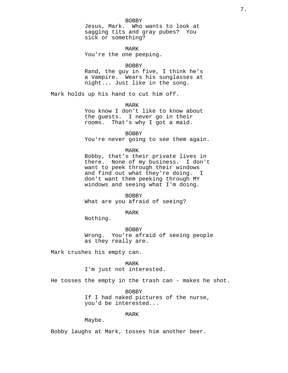#### BOBBY

Jesus, Mark. Who wants to look at sagging tits and gray pubes? You sick or something?

MARK You're the one peeping.

### BOBBY

Rand, the guy in five, I think he's a Vampire. Wears his sunglasses at night... Just like in the song.

Mark holds up his hand to cut him off.

MARK

You know I don't like to know about the guests. I never go in their rooms. That's why I got a maid.

BOBBY You're never going to see them again.

### MARK

Bobby, that's their private lives in there. None of my business. I don't want to peek through their windows and find out what they're doing. I don't want them peeking through MY windows and seeing what I'm doing.

BOBBY What are you afraid of seeing?

MARK

Nothing.

BOBBY Wrong. You're afraid of seeing people as they really are.

Mark crushes his empty can.

MARK I'm just not interested.

He tosses the empty in the trash can - makes he shot.

BOBBY If I had naked pictures of the nurse, you'd be interested...

MARK

Maybe.

Bobby laughs at Mark, tosses him another beer.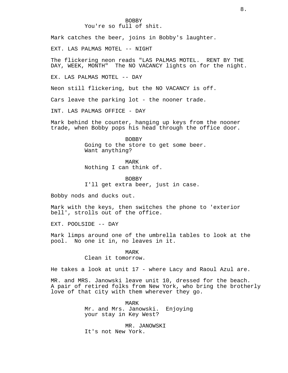# BOBBY

You're so full of shit.

Mark catches the beer, joins in Bobby's laughter.

EXT. LAS PALMAS MOTEL -- NIGHT

The flickering neon reads "LAS PALMAS MOTEL. RENT BY THE DAY, WEEK, MONTH" The NO VACANCY lights on for the night.

EX. LAS PALMAS MOTEL -- DAY

Neon still flickering, but the NO VACANCY is off.

Cars leave the parking lot - the nooner trade.

INT. LAS PALMAS OFFICE - DAY

Mark behind the counter, hanging up keys from the nooner trade, when Bobby pops his head through the office door.

> BOBBY Going to the store to get some beer. Want anything?

> > MARK

Nothing I can think of.

BOBBY I'll get extra beer, just in case.

Bobby nods and ducks out.

Mark with the keys, then switches the phone to 'exterior bell', strolls out of the office.

EXT. POOLSIDE -- DAY

Mark limps around one of the umbrella tables to look at the pool. No one it in, no leaves in it.

#### MARK

# Clean it tomorrow.

He takes a look at unit 17 - where Lacy and Raoul Azul are.

MR. and MRS. Janowski leave unit 10, dressed for the beach. A pair of retired folks from New York, who bring the brotherly love of that city with them wherever they go.

> MARK Mr. and Mrs. Janowski. Enjoying your stay in Key West?

MR. JANOWSKI It's not New York.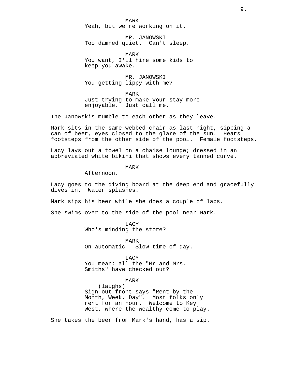MARK Yeah, but we're working on it.

MR. JANOWSKI Too damned quiet. Can't sleep.

MARK You want, I'll hire some kids to keep you awake.

MR. JANOWSKI You getting lippy with me?

MARK Just trying to make your stay more enjoyable. Just call me.

The Janowskis mumble to each other as they leave.

Mark sits in the same webbed chair as last night, sipping a can of beer, eyes closed to the glare of the sun. Hears footsteps from the other side of the pool. Female footsteps.

Lacy lays out a towel on a chaise lounge; dressed in an abbreviated white bikini that shows every tanned curve.

MARK

Afternoon.

Lacy goes to the diving board at the deep end and gracefully dives in. Water splashes.

Mark sips his beer while she does a couple of laps.

She swims over to the side of the pool near Mark.

**LACY** 

Who's minding the store?

MARK On automatic. Slow time of day.

LACY

You mean: all the "Mr and Mrs. Smiths" have checked out?

MARK

(laughs) Sign out front says "Rent by the Month, Week, Day". Most folks only rent for an hour. Welcome to Key West, where the wealthy come to play.

She takes the beer from Mark's hand, has a sip.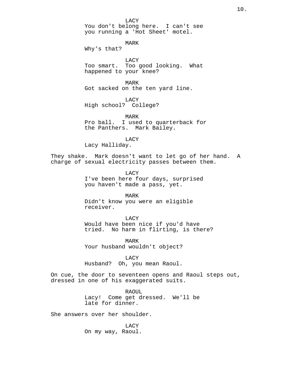LACY

You don't belong here. I can't see you running a 'Hot Sheet' motel.

MARK

Why's that?

LACY Too smart. Too good looking. What happened to your knee?

MARK Got sacked on the ten yard line.

LACY High school? College?

MARK Pro ball. I used to quarterback for the Panthers. Mark Bailey.

LACY

Lacy Halliday.

They shake. Mark doesn't want to let go of her hand. A charge of sexual electricity passes between them.

> LACY I've been here four days, surprised you haven't made a pass, yet.

MARK Didn't know you were an eligible receiver.

LACY Would have been nice if you'd have

tried. No harm in flirting, is there?

MARK Your husband wouldn't object?

LACY Husband? Oh, you mean Raoul.

On cue, the door to seventeen opens and Raoul steps out, dressed in one of his exaggerated suits.

> RAOUL Lacy! Come get dressed. We'll be late for dinner.

She answers over her shoulder.

LACY On my way, Raoul.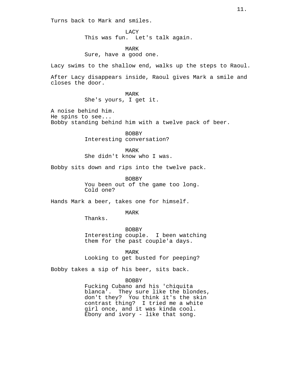Turns back to Mark and smiles.

LACY This was fun. Let's talk again.

MARK Sure, have a good one.

Lacy swims to the shallow end, walks up the steps to Raoul.

After Lacy disappears inside, Raoul gives Mark a smile and closes the door.

> MARK She's yours, I get it.

A noise behind him. He spins to see... Bobby standing behind him with a twelve pack of beer.

> BOBBY Interesting conversation?

MARK She didn't know who I was.

Bobby sits down and rips into the twelve pack.

BOBBY

You been out of the game too long. Cold one?

Hands Mark a beer, takes one for himself.

MARK

Thanks.

BOBBY Interesting couple. I been watching them for the past couple'a days.

MARK

Looking to get busted for peeping?

Bobby takes a sip of his beer, sits back.

#### BOBBY

Fucking Cubano and his 'chiquita blanca'. They sure like the blondes, don't they? You think it's the skin contrast thing? I tried me a white girl once, and it was kinda cool. Ebony and ivory - like that song.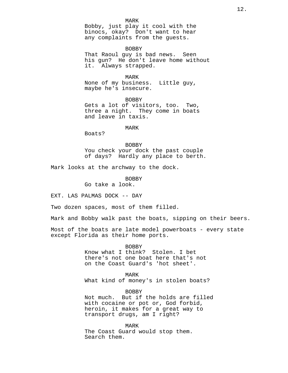BOBBY That Raoul guy is bad news. Seen his gun? He don't leave home without it. Always strapped.

MARK None of my business. Little guy, maybe he's insecure.

BOBBY Gets a lot of visitors, too. Two, three a night. They come in boats and leave in taxis.

#### MARK

Boats?

BOBBY You check your dock the past couple of days? Hardly any place to berth.

Mark looks at the archway to the dock.

BOBBY Go take a look.

EXT. LAS PALMAS DOCK -- DAY

Two dozen spaces, most of them filled.

Mark and Bobby walk past the boats, sipping on their beers.

Most of the boats are late model powerboats - every state except Florida as their home ports.

> BOBBY Know what I think? Stolen. I bet there's not one boat here that's not on the Coast Guard's 'hot sheet'.

MARK What kind of money's in stolen boats?

BOBBY Not much. But if the holds are filled with cocaine or pot or, God forbid, heroin, it makes for a great way to transport drugs, am I right?

MARK The Coast Guard would stop them. Search them.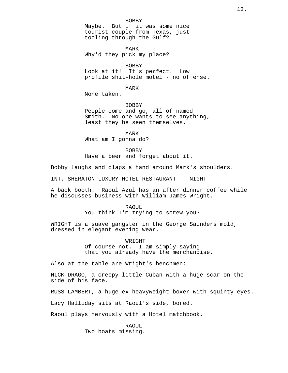BOBBY Maybe. But if it was some nice tourist couple from Texas, just tooling through the Gulf?

MARK Why'd they pick my place?

BOBBY

Look at it! It's perfect. Low profile shit-hole motel - no offense.

MARK

None taken.

BOBBY People come and go, all of named Smith. No one wants to see anything, least they be seen themselves.

MARK What am I gonna do?

BOBBY Have a beer and forget about it.

Bobby laughs and claps a hand around Mark's shoulders.

INT. SHERATON LUXURY HOTEL RESTAURANT -- NIGHT

A back booth. Raoul Azul has an after dinner coffee while he discusses business with William James Wright.

#### RAOUL

You think I'm trying to screw you?

WRIGHT is a suave gangster in the George Saunders mold, dressed in elegant evening wear.

### WRIGHT

Of course not. I am simply saying that you already have the merchandise.

Also at the table are Wright's henchmen:

NICK DRAGO, a creepy little Cuban with a huge scar on the side of his face.

RUSS LAMBERT, a huge ex-heavyweight boxer with squinty eyes.

Lacy Halliday sits at Raoul's side, bored.

Raoul plays nervously with a Hotel matchbook.

RAOUL Two boats missing.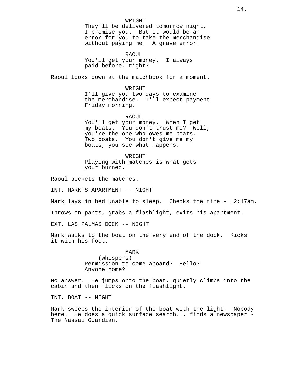### WRIGHT

They'll be delivered tomorrow night, I promise you. But it would be an error for you to take the merchandise without paying me. A grave error.

RAOUL

You'll get your money. I always paid before, right?

Raoul looks down at the matchbook for a moment.

#### WRIGHT

I'll give you two days to examine the merchandise. I'll expect payment Friday morning.

### RAOUL

You'll get your money. When I get my boats. You don't trust me? Well, you're the one who owes me boats. Two boats. You don't give me my boats, you see what happens.

WRIGHT Playing with matches is what gets your burned.

Raoul pockets the matches.

INT. MARK'S APARTMENT -- NIGHT

Mark lays in bed unable to sleep. Checks the time - 12:17am.

Throws on pants, grabs a flashlight, exits his apartment.

EXT. LAS PALMAS DOCK -- NIGHT

Mark walks to the boat on the very end of the dock. Kicks it with his foot.

> MARK (whispers) Permission to come aboard? Hello? Anyone home?

No answer. He jumps onto the boat, quietly climbs into the cabin and then flicks on the flashlight.

INT. BOAT -- NIGHT

Mark sweeps the interior of the boat with the light. Nobody here. He does a quick surface search... finds a newspaper - The Nassau Guardian.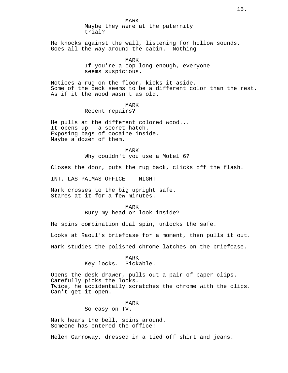MARK Maybe they were at the paternity trial?

He knocks against the wall, listening for hollow sounds. Goes all the way around the cabin. Nothing.

> MARK If you're a cop long enough, everyone seems suspicious.

Notices a rug on the floor, kicks it aside. Some of the deck seems to be a different color than the rest. As if it the wood wasn't as old.

### MARK

Recent repairs?

He pulls at the different colored wood... It opens up - a secret hatch. Exposing bags of cocaine inside. Maybe a dozen of them.

> MARK Why couldn't you use a Motel 6?

Closes the door, puts the rug back, clicks off the flash.

INT. LAS PALMAS OFFICE -- NIGHT

Mark crosses to the big upright safe. Stares at it for a few minutes.

#### MARK

Bury my head or look inside?

He spins combination dial spin, unlocks the safe.

Looks at Raoul's briefcase for a moment, then pulls it out.

Mark studies the polished chrome latches on the briefcase.

MARK Key locks. Pickable.

Opens the desk drawer, pulls out a pair of paper clips. Carefully picks the locks. Twice, he accidentally scratches the chrome with the clips. Can't get it open.

> MARK So easy on TV.

Mark hears the bell, spins around. Someone has entered the office!

Helen Garroway, dressed in a tied off shirt and jeans.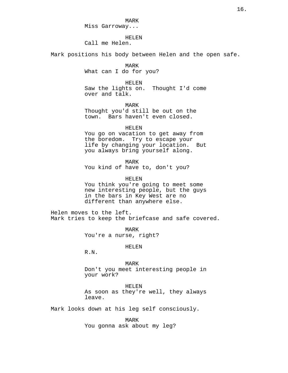MARK Miss Garroway...

HELEN

Call me Helen.

Mark positions his body between Helen and the open safe.

MARK

What can I do for you?

HELEN

Saw the lights on. Thought I'd come over and talk.

MARK Thought you'd still be out on the town. Bars haven't even closed.

HELEN

You go on vacation to get away from the boredom. Try to escape your life by changing your location. But you always bring yourself along.

MARK

You kind of have to, don't you?

HELEN

You think you're going to meet some new interesting people, but the guys in the bars in Key West are no different than anywhere else.

Helen moves to the left. Mark tries to keep the briefcase and safe covered.

> MARK You're a nurse, right?

> > HELEN

R.N.

MARK Don't you meet interesting people in your work?

HELEN

As soon as they're well, they always leave.

Mark looks down at his leg self consciously.

MARK You gonna ask about my leg?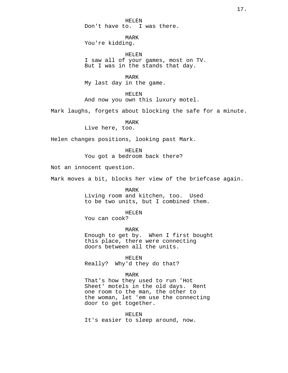HELEN Don't have to. I was there.

MARK You're kidding.

HELEN I saw all of your games, most on TV. But I was in the stands that day.

MARK My last day in the game.

HELEN And now you own this luxury motel.

Mark laughs, forgets about blocking the safe for a minute.

MARK

Live here, too.

Helen changes positions, looking past Mark.

HELEN

You got a bedroom back there?

Not an innocent question.

Mark moves a bit, blocks her view of the briefcase again.

MARK Living room and kitchen, too. Used to be two units, but I combined them.

HELEN

You can cook?

MARK Enough to get by. When I first bought this place, there were connecting doors between all the units.

HELEN

Really? Why'd they do that?

MARK

That's how they used to run 'Hot Sheet' motels in the old days. Rent one room to the man, the other to the woman, let 'em use the connecting door to get together.

HELEN It's easier to sleep around, now.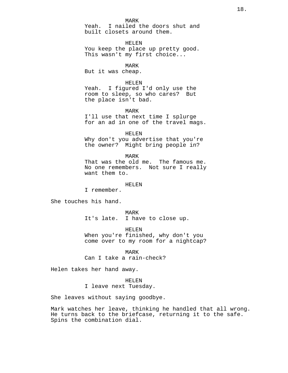Yeah. I nailed the doors shut and built closets around them.

HELEN You keep the place up pretty good. This wasn't my first choice...

MARK

But it was cheap.

### HELEN

Yeah. I figured I'd only use the room to sleep, so who cares? But the place isn't bad.

MARK

I'll use that next time I splurge for an ad in one of the travel mags.

HELEN

Why don't you advertise that you're the owner? Might bring people in?

MARK

That was the old me. The famous me. No one remembers. Not sure I really want them to.

### HELEN

I remember.

She touches his hand.

MARK It's late. I have to close up.

HELEN When you're finished, why don't you come over to my room for a nightcap?

MARK Can I take a rain-check?

Helen takes her hand away.

HELEN I leave next Tuesday.

She leaves without saying goodbye.

Mark watches her leave, thinking he handled that all wrong. He turns back to the briefcase, returning it to the safe. Spins the combination dial.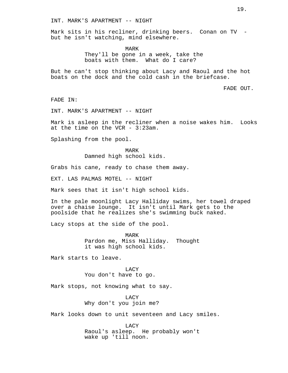INT. MARK'S APARTMENT -- NIGHT

Mark sits in his recliner, drinking beers. Conan on TV but he isn't watching, mind elsewhere.

> MARK They'll be gone in a week, take the boats with them. What do I care?

But he can't stop thinking about Lacy and Raoul and the hot boats on the dock and the cold cash in the briefcase.

FADE OUT.

FADE IN:

INT. MARK'S APARTMENT -- NIGHT

Mark is asleep in the recliner when a noise wakes him. Looks at the time on the VCR - 3:23am.

Splashing from the pool.

MARK Damned high school kids.

Grabs his cane, ready to chase them away.

EXT. LAS PALMAS MOTEL -- NIGHT

Mark sees that it isn't high school kids.

In the pale moonlight Lacy Halliday swims, her towel draped over a chaise lounge. It isn't until Mark gets to the poolside that he realizes she's swimming buck naked.

Lacy stops at the side of the pool.

MARK Pardon me, Miss Halliday. Thought it was high school kids.

Mark starts to leave.

### LACY

You don't have to go.

Mark stops, not knowing what to say.

**LACY** Why don't you join me?

Mark looks down to unit seventeen and Lacy smiles.

LACY Raoul's asleep. He probably won't wake up 'till noon.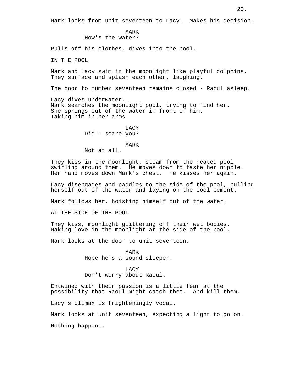MARK How's the water?

Pulls off his clothes, dives into the pool.

IN THE POOL

Mark and Lacy swim in the moonlight like playful dolphins. They surface and splash each other, laughing.

The door to number seventeen remains closed - Raoul asleep.

Lacy dives underwater. Mark searches the moonlight pool, trying to find her. She springs out of the water in front of him. Taking him in her arms.

> LACY Did I scare you?

### MARK

Not at all.

They kiss in the moonlight, steam from the heated pool swirling around them. He moves down to taste her nipple. Her hand moves down Mark's chest. He kisses her again.

Lacy disengages and paddles to the side of the pool, pulling herself out of the water and laying on the cool cement.

Mark follows her, hoisting himself out of the water.

AT THE SIDE OF THE POOL

They kiss, moonlight glittering off their wet bodies. Making love in the moonlight at the side of the pool.

Mark looks at the door to unit seventeen.

#### MARK

Hope he's a sound sleeper.

### LACY

Don't worry about Raoul.

Entwined with their passion is a little fear at the possibility that Raoul might catch them. And kill them.

Lacy's climax is frighteningly vocal.

Mark looks at unit seventeen, expecting a light to go on.

Nothing happens.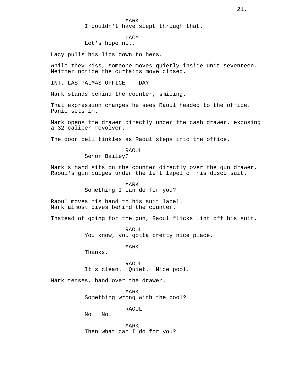I couldn't have slept through that.

# LACY

Let's hope not.

Lacy pulls his lips down to hers.

While they kiss, someone moves quietly inside unit seventeen. Neither notice the curtains move closed.

INT. LAS PALMAS OFFICE -- DAY

Mark stands behind the counter, smiling.

That expression changes he sees Raoul headed to the office. Panic sets in.

Mark opens the drawer directly under the cash drawer, exposing a 32 caliber revolver.

The door bell tinkles as Raoul steps into the office.

RAOUL Senor Bailey?

Mark's hand sits on the counter directly over the gun drawer. Raoul's gun bulges under the left lapel of his disco suit.

> MARK Something I can do for you?

Raoul moves his hand to his suit lapel. Mark almost dives behind the counter.

Instead of going for the gun, Raoul flicks lint off his suit.

RAOUL You know, you gotta pretty nice place.

MARK

Thanks.

RAOUL It's clean. Quiet. Nice pool.

Mark tenses, hand over the drawer.

MARK Something wrong with the pool?

RAOUL

No. No.

MARK Then what can I do for you?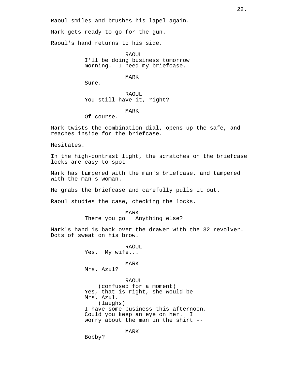Raoul smiles and brushes his lapel again.

Mark gets ready to go for the gun.

Raoul's hand returns to his side.

RAOUL I'll be doing business tomorrow morning. I need my briefcase.

MARK

Sure.

RAOUL You still have it, right?

MARK

Of course.

Mark twists the combination dial, opens up the safe, and reaches inside for the briefcase.

Hesitates.

In the high-contrast light, the scratches on the briefcase locks are easy to spot.

Mark has tampered with the man's briefcase, and tampered with the man's woman.

He grabs the briefcase and carefully pulls it out.

Raoul studies the case, checking the locks.

MARK There you go. Anything else?

Mark's hand is back over the drawer with the 32 revolver. Dots of sweat on his brow.

> RAOUL Yes. My wife... MARK

Mrs. Azul?

RAOUL

(confused for a moment) Yes, that is right, she would be Mrs. Azul. (laughs) I have some business this afternoon. Could you keep an eye on her. I worry about the man in the shirt --

MARK

Bobby?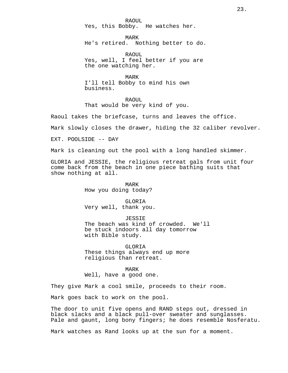RAOUL Yes, this Bobby. He watches her.

MARK He's retired. Nothing better to do.

RAOUL Yes, well, I feel better if you are the one watching her.

MARK I'll tell Bobby to mind his own business.

RAOUL That would be very kind of you.

Raoul takes the briefcase, turns and leaves the office.

Mark slowly closes the drawer, hiding the 32 caliber revolver.

EXT. POOLSIDE -- DAY

Mark is cleaning out the pool with a long handled skimmer.

GLORIA and JESSIE, the religious retreat gals from unit four come back from the beach in one piece bathing suits that show nothing at all.

> MARK How you doing today?

GLORIA Very well, thank you.

JESSIE The beach was kind of crowded. We'll be stuck indoors all day tomorrow with Bible study.

GLORIA These things always end up more religious than retreat.

MARK

Well, have a good one.

They give Mark a cool smile, proceeds to their room.

Mark goes back to work on the pool.

The door to unit five opens and RAND steps out, dressed in black slacks and a black pull-over sweater and sunglasses. Pale and gaunt, long bony fingers; he does resemble Nosferatu.

Mark watches as Rand looks up at the sun for a moment.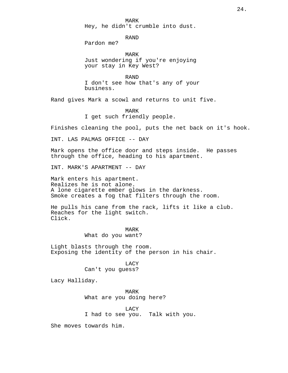MARK Hey, he didn't crumble into dust.

RAND Pardon me?

MARK Just wondering if you're enjoying your stay in Key West?

RAND I don't see how that's any of your business.

Rand gives Mark a scowl and returns to unit five.

MARK I get such friendly people.

Finishes cleaning the pool, puts the net back on it's hook.

INT. LAS PALMAS OFFICE -- DAY

Mark opens the office door and steps inside. He passes through the office, heading to his apartment.

INT. MARK'S APARTMENT -- DAY

Mark enters his apartment. Realizes he is not alone. A lone cigarette ember glows in the darkness. Smoke creates a fog that filters through the room.

He pulls his cane from the rack, lifts it like a club. Reaches for the light switch. Click.

### MARK What do you want?

Light blasts through the room. Exposing the identity of the person in his chair.

> LACY Can't you guess?

Lacy Halliday.

MARK What are you doing here?

LACY I had to see you. Talk with you.

She moves towards him.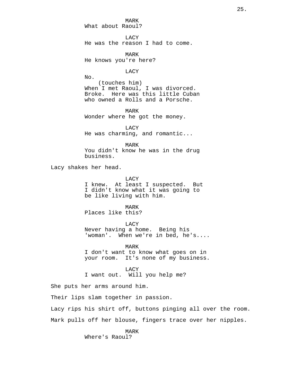MARK What about Raoul?

**LACY** He was the reason I had to come.

MARK He knows you're here?

LACY

No. (touches him) When I met Raoul, I was divorced. Broke. Here was this little Cuban who owned a Rolls and a Porsche.

MARK Wonder where he got the money.

LACY He was charming, and romantic...

MARK

You didn't know he was in the drug business.

Lacy shakes her head.

LACY

I knew. At least I suspected. But I didn't know what it was going to be like living with him.

MARK Places like this?

LACY

Never having a home. Being his<br>'woman'. When we're in bed, he When we're in bed, he's....

MARK I don't want to know what goes on in your room. It's none of my business.

**LACY** 

I want out. Will you help me?

She puts her arms around him.

Their lips slam together in passion.

Lacy rips his shirt off, buttons pinging all over the room. Mark pulls off her blouse, fingers trace over her nipples.

> MARK Where's Raoul?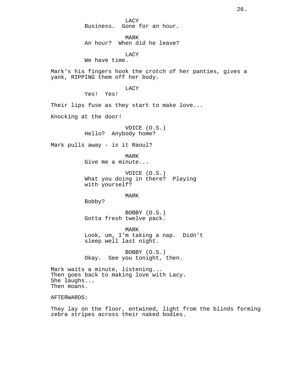LACY Business. Gone for an hour.

MARK An hour? When did he leave?

LACY

We have time.

Mark's his fingers hook the crotch of her panties, gives a yank, RIPPING them off her body.

LACY

Yes! Yes!

Their lips fuse as they start to make love...

Knocking at the door!

VOICE (O.S.) Hello? Anybody home?

Mark pulls away - is it Raoul?

MARK Give me a minute...

VOICE (O.S.) What you doing in there? Playing with yourself?

MARK

Bobby?

BOBBY (O.S.) Gotta fresh twelve pack.

MARK Look, um, I'm taking a nap. Didn't sleep well last night.

BOBBY (O.S.) Okay. See you tonight, then.

Mark waits a minute, listening... Then goes back to making love with Lacy. She laughs... Then moans.

AFTERWARDS:

They lay on the floor, entwined, light from the blinds forming zebra stripes across their naked bodies.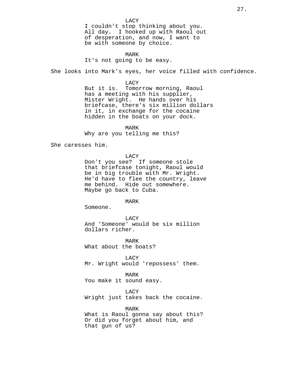LACY I couldn't stop thinking about you. All day. I hooked up with Raoul out of desperation, and now, I want to be with someone by choice.

MARK It's not going to be easy.

She looks into Mark's eyes, her voice filled with confidence.

LACY

But it is. Tomorrow morning, Raoul has a meeting with his supplier, Mister Wright. He hands over his briefcase, there's six million dollars in it, in exchange for the cocaine hidden in the boats on your dock.

MARK

Why are you telling me this?

She caresses him.

LACY

Don't you see? If someone stole that briefcase tonight, Raoul would be in big trouble with Mr. Wright. He'd have to flee the country, leave me behind. Hide out somewhere. Maybe go back to Cuba.

MARK

Someone.

LACY And 'Someone' would be six million dollars richer.

MARK What about the boats?

LACY

Mr. Wright would 'repossess' them.

MARK

You make it sound easy.

LACY

Wright just takes back the cocaine.

MARK

What is Raoul gonna say about this? Or did you forget about him, and that gun of us?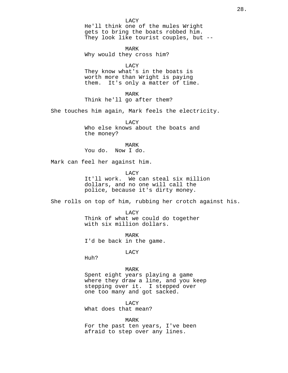MARK Why would they cross him?

LACY

They know what's in the boats is worth more than Wright is paying them. It's only a matter of time.

MARK Think he'll go after them?

She touches him again, Mark feels the electricity.

LACY Who else knows about the boats and the money?

MARK You do. Now I do.

Mark can feel her against him.

LACY

It'll work. We can steal six million dollars, and no one will call the police, because it's dirty money.

She rolls on top of him, rubbing her crotch against his.

LACY Think of what we could do together with six million dollars.

MARK I'd be back in the game.

LACY

Huh?

# MARK

Spent eight years playing a game where they draw a line, and you keep stepping over it. I stepped over one too many and got sacked.

LACY What does that mean?

MARK For the past ten years, I've been afraid to step over any lines.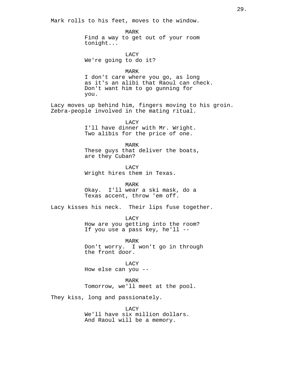Mark rolls to his feet, moves to the window.

MARK Find a way to get out of your room tonight...

LACY We're going to do it?

MARK I don't care where you go, as long as it's an alibi that Raoul can check. Don't want him to go gunning for you.

Lacy moves up behind him, fingers moving to his groin. Zebra-people involved in the mating ritual.

> LACY I'll have dinner with Mr. Wright. Two alibis for the price of one.

MARK These guys that deliver the boats, are they Cuban?

LACY Wright hires them in Texas.

MARK

Okay. I'll wear a ski mask, do a Texas accent, throw 'em off.

Lacy kisses his neck. Their lips fuse together.

LACY How are you getting into the room? If you use a pass key, he'll --

MARK

Don't worry. I won't go in through the front door.

LACY How else can you --

MARK Tomorrow, we'll meet at the pool.

They kiss, long and passionately.

LACY We'll have six million dollars. And Raoul will be a memory.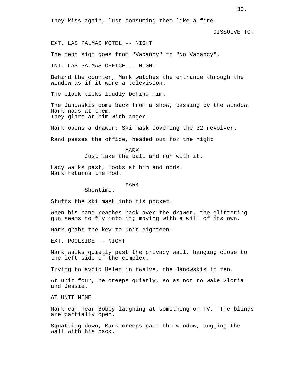They kiss again, lust consuming them like a fire.

DISSOLVE TO:

EXT. LAS PALMAS MOTEL -- NIGHT

The neon sign goes from "Vacancy" to "No Vacancy".

INT. LAS PALMAS OFFICE -- NIGHT

Behind the counter, Mark watches the entrance through the window as if it were a television.

The clock ticks loudly behind him.

The Janowskis come back from a show, passing by the window. Mark nods at them. They glare at him with anger.

Mark opens a drawer: Ski mask covering the 32 revolver.

Rand passes the office, headed out for the night.

MARK Just take the ball and run with it.

Lacy walks past, looks at him and nods. Mark returns the nod.

MARK

Showtime.

Stuffs the ski mask into his pocket.

When his hand reaches back over the drawer, the glittering gun seems to fly into it; moving with a will of its own.

Mark grabs the key to unit eighteen.

EXT. POOLSIDE -- NIGHT

Mark walks quietly past the privacy wall, hanging close to the left side of the complex.

Trying to avoid Helen in twelve, the Janowskis in ten.

At unit four, he creeps quietly, so as not to wake Gloria and Jessie.

AT UNIT NINE

Mark can hear Bobby laughing at something on TV. The blinds are partially open.

Squatting down, Mark creeps past the window, hugging the wall with his back.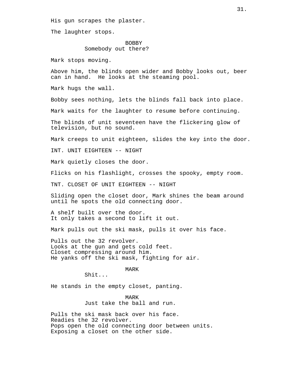His gun scrapes the plaster.

The laughter stops.

# BOBBY Somebody out there?

Mark stops moving.

Above him, the blinds open wider and Bobby looks out, beer can in hand. He looks at the steaming pool.

Mark hugs the wall.

Bobby sees nothing, lets the blinds fall back into place.

Mark waits for the laughter to resume before continuing.

The blinds of unit seventeen have the flickering glow of television, but no sound.

Mark creeps to unit eighteen, slides the key into the door.

INT. UNIT EIGHTEEN -- NIGHT

Mark quietly closes the door.

Flicks on his flashlight, crosses the spooky, empty room.

TNT. CLOSET OF UNIT EIGHTEEN -- NIGHT

Sliding open the closet door, Mark shines the beam around until he spots the old connecting door.

A shelf built over the door. It only takes a second to lift it out.

Mark pulls out the ski mask, pulls it over his face.

Pulls out the 32 revolver. Looks at the gun and gets cold feet. Closet compressing around him. He yanks off the ski mask, fighting for air.

MARK

Shit...

He stands in the empty closet, panting.

MARK Just take the ball and run.

Pulls the ski mask back over his face. Readies the 32 revolver. Pops open the old connecting door between units. Exposing a closet on the other side.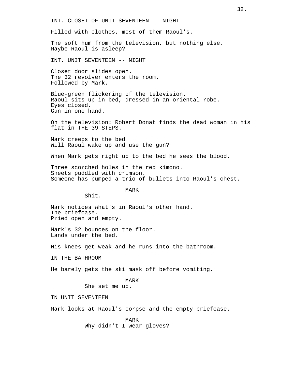INT. CLOSET OF UNIT SEVENTEEN -- NIGHT

Filled with clothes, most of them Raoul's.

The soft hum from the television, but nothing else. Maybe Raoul is asleep?

INT. UNIT SEVENTEEN -- NIGHT

Closet door slides open. The 32 revolver enters the room. Followed by Mark.

Blue-green flickering of the television. Raoul sits up in bed, dressed in an oriental robe. Eyes closed. Gun in one hand.

On the television: Robert Donat finds the dead woman in his flat in THE 39 STEPS.

Mark creeps to the bed. Will Raoul wake up and use the gun?

When Mark gets right up to the bed he sees the blood.

Three scorched holes in the red kimono. Sheets puddled with crimson. Someone has pumped a trio of bullets into Raoul's chest.

MARK

Shit.

Mark notices what's in Raoul's other hand. The briefcase. Pried open and empty.

Mark's 32 bounces on the floor. Lands under the bed.

His knees get weak and he runs into the bathroom.

IN THE BATHROOM

He barely gets the ski mask off before vomiting.

MARK

She set me up.

IN UNIT SEVENTEEN

Mark looks at Raoul's corpse and the empty briefcase.

MARK Why didn't I wear gloves?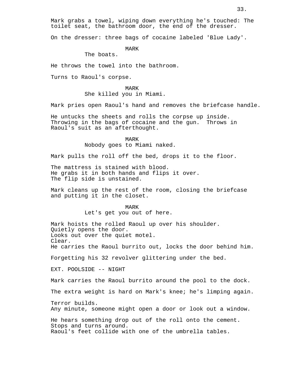Mark grabs a towel, wiping down everything he's touched: The toilet seat, the bathroom door, the end of the dresser.

On the dresser: three bags of cocaine labeled 'Blue Lady'.

MARK

The boats.

He throws the towel into the bathroom.

Turns to Raoul's corpse.

MARK She killed you in Miami.

Mark pries open Raoul's hand and removes the briefcase handle.

He untucks the sheets and rolls the corpse up inside. Throwing in the bags of cocaine and the gun. Throws in Raoul's suit as an afterthought.

> MARK Nobody goes to Miami naked.

Mark pulls the roll off the bed, drops it to the floor.

The mattress is stained with blood. He grabs it in both hands and flips it over. The flip side is unstained.

Mark cleans up the rest of the room, closing the briefcase and putting it in the closet.

#### MARK

Let's get you out of here.

Mark hoists the rolled Raoul up over his shoulder. Quietly opens the door. Looks out over the quiet motel. Clear. He carries the Raoul burrito out, locks the door behind him. Forgetting his 32 revolver glittering under the bed.

EXT. POOLSIDE -- NIGHT

Mark carries the Raoul burrito around the pool to the dock.

The extra weight is hard on Mark's knee; he's limping again.

Terror builds. Any minute, someone might open a door or look out a window.

He hears something drop out of the roll onto the cement. Stops and turns around. Raoul's feet collide with one of the umbrella tables.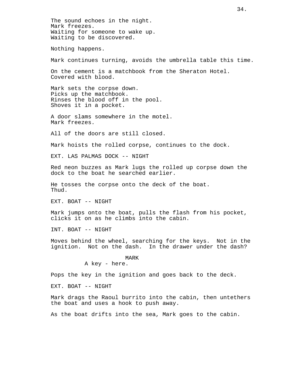The sound echoes in the night. Mark freezes. Waiting for someone to wake up. Waiting to be discovered.

Nothing happens.

Mark continues turning, avoids the umbrella table this time.

On the cement is a matchbook from the Sheraton Hotel. Covered with blood.

Mark sets the corpse down. Picks up the matchbook. Rinses the blood off in the pool. Shoves it in a pocket.

A door slams somewhere in the motel. Mark freezes.

All of the doors are still closed.

Mark hoists the rolled corpse, continues to the dock.

EXT. LAS PALMAS DOCK -- NIGHT

Red neon buzzes as Mark lugs the rolled up corpse down the dock to the boat he searched earlier.

He tosses the corpse onto the deck of the boat. Thud.

EXT. BOAT -- NIGHT

Mark jumps onto the boat, pulls the flash from his pocket, clicks it on as he climbs into the cabin.

INT. BOAT -- NIGHT

Moves behind the wheel, searching for the keys. Not in the ignition. Not on the dash. In the drawer under the dash?

MARK

A key - here.

Pops the key in the ignition and goes back to the deck.

EXT. BOAT -- NIGHT

Mark drags the Raoul burrito into the cabin, then untethers the boat and uses a hook to push away.

As the boat drifts into the sea, Mark goes to the cabin.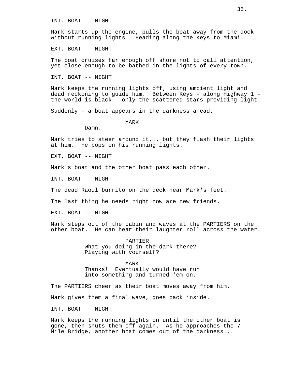INT. BOAT -- NIGHT

Mark starts up the engine, pulls the boat away from the dock without running lights. Heading along the Keys to Miami.

EXT. BOAT -- NIGHT

The boat cruises far enough off shore not to call attention, yet close enough to be bathed in the lights of every town.

INT. BOAT -- NIGHT

Mark keeps the running lights off, using ambient light and dead reckoning to guide him. Between Keys - along Highway 1 the world is black - only the scattered stars providing light.

Suddenly - a boat appears in the darkness ahead.

MARK

Damn.

Mark tries to steer around it... but they flash their lights at him. He pops on his running lights.

EXT. BOAT -- NIGHT

Mark's boat and the other boat pass each other.

INT. BOAT -- NIGHT

The dead Raoul burrito on the deck near Mark's feet.

The last thing he needs right now are new friends.

EXT. BOAT -- NIGHT

Mark steps out of the cabin and waves at the PARTIERS on the other boat. He can hear their laughter roll across the water.

> PARTIER What you doing in the dark there? Playing with yourself?

> > MARK

Thanks! Eventually would have run into something and turned 'em on.

The PARTIERS cheer as their boat moves away from him.

Mark gives them a final wave, goes back inside.

INT. BOAT -- NIGHT

Mark keeps the running lights on until the other boat is gone, then shuts them off again. As he approaches the 7 Mile Bridge, another boat comes out of the darkness...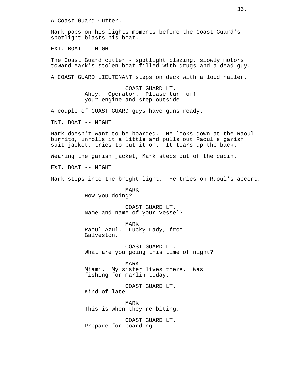A Coast Guard Cutter.

Mark pops on his lights moments before the Coast Guard's spotlight blasts his boat.

EXT. BOAT -- NIGHT

The Coast Guard cutter - spotlight blazing, slowly motors toward Mark's stolen boat filled with drugs and a dead guy.

A COAST GUARD LIEUTENANT steps on deck with a loud hailer.

COAST GUARD LT. Ahoy. Operator. Please turn off your engine and step outside.

A couple of COAST GUARD guys have guns ready.

INT. BOAT -- NIGHT

Mark doesn't want to be boarded. He looks down at the Raoul burrito, unrolls it a little and pulls out Raoul's garish suit jacket, tries to put it on. It tears up the back.

Wearing the garish jacket, Mark steps out of the cabin.

EXT. BOAT -- NIGHT

Mark steps into the bright light. He tries on Raoul's accent.

MARK How you doing?

COAST GUARD LT. Name and name of your vessel?

MARK Raoul Azul. Lucky Lady, from Galveston.

COAST GUARD LT. What are you going this time of night?

MARK Miami. My sister lives there. Was fishing for marlin today.

COAST GUARD LT. Kind of late.

MARK This is when they're biting.

COAST GUARD LT. Prepare for boarding.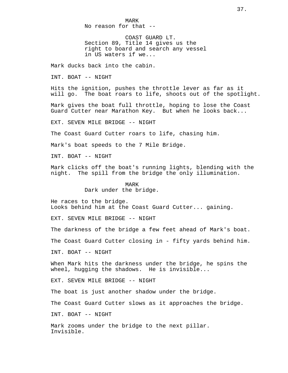MARK No reason for that --

COAST GUARD LT. Section 89, Title 14 gives us the right to board and search any vessel in US waters if we...

Mark ducks back into the cabin.

INT. BOAT -- NIGHT

Hits the ignition, pushes the throttle lever as far as it will go. The boat roars to life, shoots out of the spotlight.

Mark gives the boat full throttle, hoping to lose the Coast Guard Cutter near Marathon Key. But when he looks back...

EXT. SEVEN MILE BRIDGE -- NIGHT

The Coast Guard Cutter roars to life, chasing him.

Mark's boat speeds to the 7 Mile Bridge.

INT. BOAT -- NIGHT

Mark clicks off the boat's running lights, blending with the night. The spill from the bridge the only illumination.

> MARK Dark under the bridge.

He races to the bridge. Looks behind him at the Coast Guard Cutter... gaining.

EXT. SEVEN MILE BRIDGE -- NIGHT

The darkness of the bridge a few feet ahead of Mark's boat.

The Coast Guard Cutter closing in - fifty yards behind him.

INT. BOAT -- NIGHT

When Mark hits the darkness under the bridge, he spins the wheel, hugging the shadows. He is invisible...

EXT. SEVEN MILE BRIDGE -- NIGHT

The boat is just another shadow under the bridge.

The Coast Guard Cutter slows as it approaches the bridge.

INT. BOAT -- NIGHT

Mark zooms under the bridge to the next pillar. Invisible.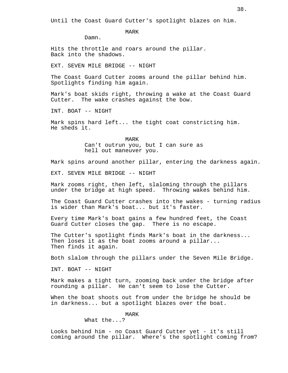Until the Coast Guard Cutter's spotlight blazes on him.

MARK

Damn.

Hits the throttle and roars around the pillar. Back into the shadows.

EXT. SEVEN MILE BRIDGE -- NIGHT

The Coast Guard Cutter zooms around the pillar behind him. Spotlights finding him again.

Mark's boat skids right, throwing a wake at the Coast Guard Cutter. The wake crashes against the bow.

INT. BOAT -- NIGHT

Mark spins hard left... the tight coat constricting him. He sheds it.

> MARK Can't outrun you, but I can sure as hell out maneuver you.

Mark spins around another pillar, entering the darkness again.

EXT. SEVEN MILE BRIDGE -- NIGHT

Mark zooms right, then left, slaloming through the pillars under the bridge at high speed. Throwing wakes behind him.

The Coast Guard Cutter crashes into the wakes - turning radius is wider than Mark's boat... but it's faster.

Every time Mark's boat gains a few hundred feet, the Coast Guard Cutter closes the gap. There is no escape.

The Cutter's spotlight finds Mark's boat in the darkness... Then loses it as the boat zooms around a pillar... Then finds it again.

Both slalom through the pillars under the Seven Mile Bridge.

INT. BOAT -- NIGHT

Mark makes a tight turn, zooming back under the bridge after rounding a pillar. He can't seem to lose the Cutter.

When the boat shoots out from under the bridge he should be in darkness... but a spotlight blazes over the boat.

MARK

What the...?

Looks behind him - no Coast Guard Cutter yet - it's still coming around the pillar. Where's the spotlight coming from?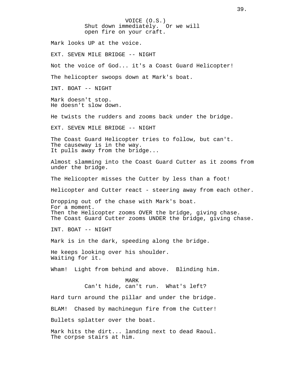VOICE (O.S.) Shut down immediately. Or we will open fire on your craft. Mark looks UP at the voice. EXT. SEVEN MILE BRIDGE -- NIGHT Not the voice of God... it's a Coast Guard Helicopter! The helicopter swoops down at Mark's boat. INT. BOAT -- NIGHT Mark doesn't stop. He doesn't slow down. He twists the rudders and zooms back under the bridge. EXT. SEVEN MILE BRIDGE -- NIGHT The Coast Guard Helicopter tries to follow, but can't. The causeway is in the way. It pulls away from the bridge... Almost slamming into the Coast Guard Cutter as it zooms from under the bridge. The Helicopter misses the Cutter by less than a foot! Helicopter and Cutter react - steering away from each other. Dropping out of the chase with Mark's boat. For a moment. Then the Helicopter zooms OVER the bridge, giving chase. The Coast Guard Cutter zooms UNDER the bridge, giving chase. INT. BOAT -- NIGHT Mark is in the dark, speeding along the bridge. He keeps looking over his shoulder. Waiting for it. Wham! Light from behind and above. Blinding him. MARK Can't hide, can't run. What's left? Hard turn around the pillar and under the bridge. BLAM! Chased by machinegun fire from the Cutter! Bullets splatter over the boat. Mark hits the dirt... landing next to dead Raoul. The corpse stairs at him.

39.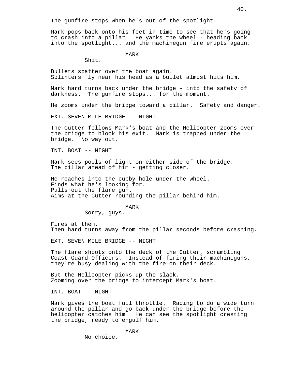The gunfire stops when he's out of the spotlight.

Mark pops back onto his feet in time to see that he's going to crash into a pillar! He yanks the wheel - heading back into the spotlight... and the machinegun fire erupts again.

MARK

Shit.

Bullets spatter over the boat again. Splinters fly near his head as a bullet almost hits him.

Mark hard turns back under the bridge - into the safety of darkness. The gunfire stops... for the moment.

He zooms under the bridge toward a pillar. Safety and danger.

EXT. SEVEN MILE BRIDGE -- NIGHT

The Cutter follows Mark's boat and the Helicopter zooms over the bridge to block his exit. Mark is trapped under the bridge. No way out.

INT. BOAT -- NIGHT

Mark sees pools of light on either side of the bridge. The pillar ahead of him - getting closer.

He reaches into the cubby hole under the wheel. Finds what he's looking for. Pulls out the flare gun. Aims at the Cutter rounding the pillar behind him.

#### MARK

Sorry, guys.

Fires at them. Then hard turns away from the pillar seconds before crashing.

EXT. SEVEN MILE BRIDGE -- NIGHT

The flare shoots onto the deck of the Cutter, scrambling Coast Guard Officers. Instead of firing their machineguns, they're busy dealing with the fire on their deck.

But the Helicopter picks up the slack. Zooming over the bridge to intercept Mark's boat.

INT. BOAT -- NIGHT

Mark gives the boat full throttle. Racing to do a wide turn around the pillar and go back under the bridge before the helicopter catches him. He can see the spotlight cresting the bridge, ready to engulf him.

### MARK

No choice.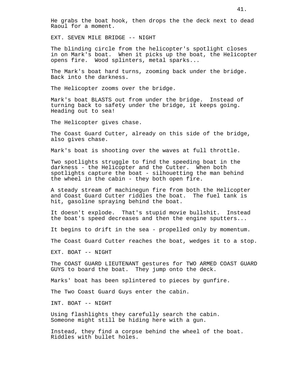He grabs the boat hook, then drops the the deck next to dead Raoul for a moment.

EXT. SEVEN MILE BRIDGE -- NIGHT

The blinding circle from the helicopter's spotlight closes in on Mark's boat. When it picks up the boat, the Helicopter opens fire. Wood splinters, metal sparks...

The Mark's boat hard turns, zooming back under the bridge. Back into the darkness.

The Helicopter zooms over the bridge.

Mark's boat BLASTS out from under the bridge. Instead of turning back to safety under the bridge, it keeps going. Heading out to sea!

The Helicopter gives chase.

The Coast Guard Cutter, already on this side of the bridge, also gives chase.

Mark's boat is shooting over the waves at full throttle.

Two spotlights struggle to find the speeding boat in the darkness - the Helicopter and the Cutter. When both spotlights capture the boat - silhouetting the man behind the wheel in the cabin - they both open fire.

A steady stream of machinegun fire from both the Helicopter and Coast Guard Cutter riddles the boat. The fuel tank is hit, gasoline spraying behind the boat.

It doesn't explode. That's stupid movie bullshit. Instead the boat's speed decreases and then the engine sputters...

It begins to drift in the sea - propelled only by momentum.

The Coast Guard Cutter reaches the boat, wedges it to a stop.

EXT. BOAT -- NIGHT

The COAST GUARD LIEUTENANT gestures for TWO ARMED COAST GUARD GUYS to board the boat. They jump onto the deck.

Marks' boat has been splintered to pieces by gunfire.

The Two Coast Guard Guys enter the cabin.

INT. BOAT -- NIGHT

Using flashlights they carefully search the cabin. Someone might still be hiding here with a gun.

Instead, they find a corpse behind the wheel of the boat. Riddles with bullet holes.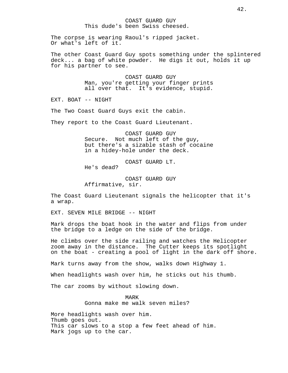## COAST GUARD GUY This dude's been Swiss cheesed.

The corpse is wearing Raoul's ripped jacket. Or what's left of it.

The other Coast Guard Guy spots something under the splintered deck... a bag of white powder. He digs it out, holds it up for his partner to see.

> COAST GUARD GUY Man, you're getting your finger prints all over that. It's evidence, stupid.

EXT. BOAT -- NIGHT

The Two Coast Guard Guys exit the cabin.

They report to the Coast Guard Lieutenant.

COAST GUARD GUY Secure. Not much left of the guy, but there's a sizable stash of cocaine in a hidey-hole under the deck.

COAST GUARD LT. He's dead?

COAST GUARD GUY Affirmative, sir.

The Coast Guard Lieutenant signals the helicopter that it's a wrap.

EXT. SEVEN MILE BRIDGE -- NIGHT

Mark drops the boat hook in the water and flips from under the bridge to a ledge on the side of the bridge.

He climbs over the side railing and watches the Helicopter zoom away in the distance. The Cutter keeps its spotlight on the boat - creating a pool of light in the dark off shore.

Mark turns away from the show, walks down Highway 1.

When headlights wash over him, he sticks out his thumb.

The car zooms by without slowing down.

MARK Gonna make me walk seven miles?

More headlights wash over him. Thumb goes out. This car slows to a stop a few feet ahead of him. Mark jogs up to the car.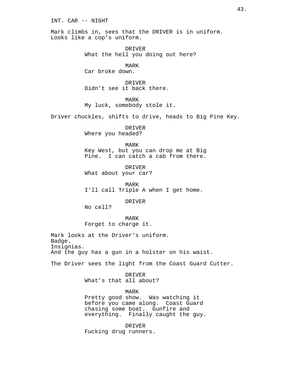## INT. CAR -- NIGHT

Mark climbs in, sees that the DRIVER is in uniform. Looks like a cop's uniform.

> DRIVER What the hell you doing out here?

MARK Car broke down.

DRIVER Didn't see it back there.

MARK My luck, somebody stole it.

Driver chuckles, shifts to drive, heads to Big Pine Key.

DRIVER Where you headed?

MARK

Key West, but you can drop me at Big Pine. I can catch a cab from there.

DRIVER What about your car?

MARK I'll call Triple A when I get home.

DRIVER

No cell?

MARK Forget to charge it.

Mark looks at the Driver's uniform. Badge. Insignias. And the guy has a gun in a holster on his waist.

The Driver sees the light from the Coast Guard Cutter.

DRIVER What's that all about?

MARK Pretty good show. Was watching it before you came along. Coast Guard chasing some boat. Gunfire and everything. Finally caught the guy.

DRIVER Fucking drug runners.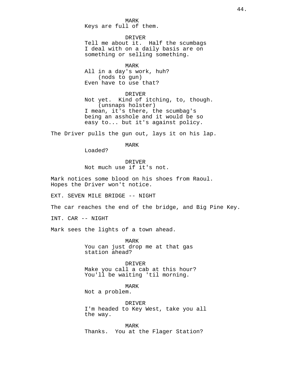MARK Keys are full of them.

DRIVER

Tell me about it. Half the scumbags I deal with on a daily basis are on something or selling something.

```
MARK
```
All in a day's work, huh? (nods to gun) Even have to use that?

DRIVER Not yet. Kind of itching, to, though. (unsnaps holster) I mean, it's there, the scumbag's being an asshole and it would be so easy to... but it's against policy.

The Driver pulls the gun out, lays it on his lap.

MARK

Loaded?

DRIVER Not much use if it's not.

Mark notices some blood on his shoes from Raoul. Hopes the Driver won't notice.

EXT. SEVEN MILE BRIDGE -- NIGHT

The car reaches the end of the bridge, and Big Pine Key.

INT. CAR -- NIGHT

Mark sees the lights of a town ahead.

MARK You can just drop me at that gas station ahead?

DRIVER Make you call a cab at this hour? You'll be waiting 'til morning.

MARK Not a problem.

DRIVER I'm headed to Key West, take you all the way.

MARK Thanks. You at the Flager Station?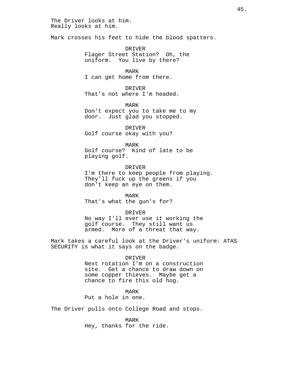The Driver looks at him. Really looks at him.

Mark crosses his feet to hide the blood spatters.

DRIVER Flager Street Station? Oh, the uniform. You live by there?

MARK I can get home from there.

DRIVER That's not where I'm headed.

MARK Don't expect you to take me to my door. Just glad you stopped.

DRIVER Golf course okay with you?

MARK

Golf course? Kind of late to be playing golf.

DRIVER I'm there to keep people from playing. They'll fuck up the greens if you don't keep an eye on them.

MARK That's what the gun's for?

DRIVER No way I'll ever use it working the golf course. They still want us armed. More of a threat that way.

Mark takes a careful look at the Driver's uniform: ATAS SECURITY is what it says on the badge.

## DRIVER

Next rotation I'm on a construction site. Get a chance to draw down on some copper thieves. Maybe get a chance to fire this old hog.

MARK

Put a hole in one.

The Driver pulls onto College Road and stops.

MARK Hey, thanks for the ride.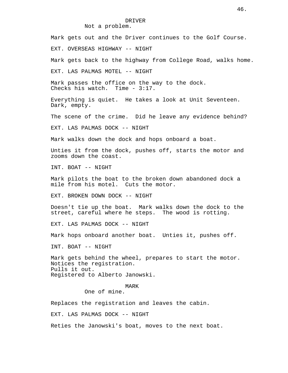# Not a problem.

Mark gets out and the Driver continues to the Golf Course. EXT. OVERSEAS HIGHWAY -- NIGHT Mark gets back to the highway from College Road, walks home. EXT. LAS PALMAS MOTEL -- NIGHT Mark passes the office on the way to the dock. Checks his watch. Time - 3:17. Everything is quiet. He takes a look at Unit Seventeen. Dark, empty. The scene of the crime. Did he leave any evidence behind? EXT. LAS PALMAS DOCK -- NIGHT Mark walks down the dock and hops onboard a boat. Unties it from the dock, pushes off, starts the motor and zooms down the coast. INT. BOAT -- NIGHT Mark pilots the boat to the broken down abandoned dock a mile from his motel. Cuts the motor. EXT. BROKEN DOWN DOCK -- NIGHT Doesn't tie up the boat. Mark walks down the dock to the street, careful where he steps. The wood is rotting. EXT. LAS PALMAS DOCK -- NIGHT Mark hops onboard another boat. Unties it, pushes off. INT. BOAT -- NIGHT Mark gets behind the wheel, prepares to start the motor. Notices the registration. Pulls it out. Registered to Alberto Janowski. MARK One of mine. Replaces the registration and leaves the cabin. EXT. LAS PALMAS DOCK -- NIGHT Reties the Janowski's boat, moves to the next boat.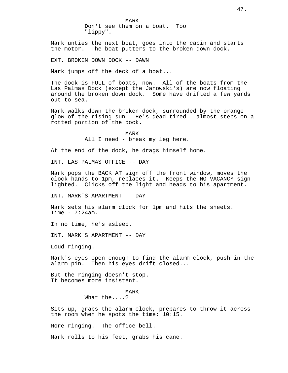MARK Don't see them on a boat. Too "lippy".

Mark unties the next boat, goes into the cabin and starts the motor. The boat putters to the broken down dock.

EXT. BROKEN DOWN DOCK -- DAWN

Mark jumps off the deck of a boat...

The dock is FULL of boats, now. All of the boats from the Las Palmas Dock (except the Janowski's) are now floating around the broken down dock. Some have drifted a few yards out to sea.

Mark walks down the broken dock, surrounded by the orange glow of the rising sun. He's dead tired - almost steps on a rotted portion of the dock.

> MARK All I need - break my leg here.

At the end of the dock, he drags himself home.

INT. LAS PALMAS OFFICE -- DAY

Mark pops the BACK AT sign off the front window, moves the clock hands to 1pm, replaces it. Keeps the NO VACANCY sign lighted. Clicks off the light and heads to his apartment.

INT. MARK'S APARTMENT -- DAY

Mark sets his alarm clock for 1pm and hits the sheets. Time  $-7:24am$ .

In no time, he's asleep.

INT. MARK'S APARTMENT -- DAY

Loud ringing.

Mark's eyes open enough to find the alarm clock, push in the alarm pin. Then his eyes drift closed...

But the ringing doesn't stop. It becomes more insistent.

#### MARK

What the....?

Sits up, grabs the alarm clock, prepares to throw it across the room when he spots the time: 10:15.

More ringing. The office bell.

Mark rolls to his feet, grabs his cane.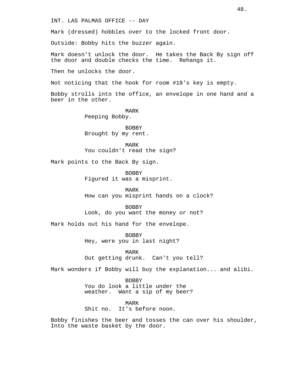INT. LAS PALMAS OFFICE -- DAY

Mark (dressed) hobbles over to the locked front door.

Outside: Bobby hits the buzzer again.

Mark doesn't unlock the door. He takes the Back By sign off the door and double checks the time. Rehangs it.

Then he unlocks the door.

Not noticing that the hook for room #18's key is empty.

Bobby strolls into the office, an envelope in one hand and a beer in the other.

> MARK Peeping Bobby.

BOBBY Brought by my rent.

MARK You couldn't read the sign?

Mark points to the Back By sign.

BOBBY Figured it was a misprint.

MARK How can you misprint hands on a clock?

BOBBY Look, do you want the money or not?

Mark holds out his hand for the envelope.

BOBBY Hey, were you in last night?

MARK Out getting drunk. Can't you tell?

Mark wonders if Bobby will buy the explanation... and alibi.

BOBBY You do look a little under the weather. Want a sip of my beer?

MARK Shit no. It's before noon.

Bobby finishes the beer and tosses the can over his shoulder, Into the waste basket by the door.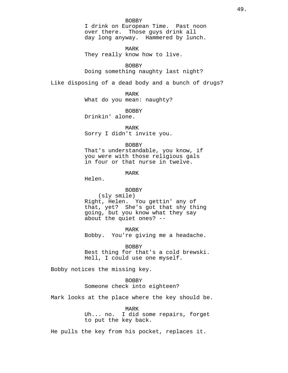I drink on European Time. Past noon over there. Those guys drink all day long anyway. Hammered by lunch.

MARK

They really know how to live.

BOBBY

Doing something naughty last night?

Like disposing of a dead body and a bunch of drugs?

MARK What do you mean: naughty?

BOBBY

Drinkin' alone.

MARK Sorry I didn't invite you.

## BOBBY

That's understandable, you know, if you were with those religious gals in four or that nurse in twelve.

MARK

Helen.

## BOBBY

(sly smile) Right, Helen. You gettin' any of that, yet? She's got that shy thing going, but you know what they say about the quiet ones? --

MARK

Bobby. You're giving me a headache.

BOBBY

Best thing for that's a cold brewski. Hell, I could use one myself.

Bobby notices the missing key.

BOBBY Someone check into eighteen?

Mark looks at the place where the key should be.

MARK Uh... no. I did some repairs, forget to put the key back.

He pulls the key from his pocket, replaces it.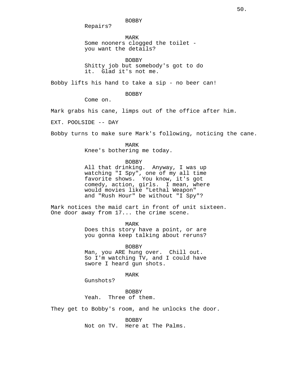Repairs?

MARK Some nooners clogged the toilet you want the details?

BOBBY Shitty job but somebody's got to do it. Glad it's not me.

Bobby lifts his hand to take a sip - no beer can!

BOBBY

Come on.

Mark grabs his cane, limps out of the office after him.

EXT. POOLSIDE -- DAY

Bobby turns to make sure Mark's following, noticing the cane.

MARK

Knee's bothering me today.

BOBBY

All that drinking. Anyway, I was up watching "I Spy", one of my all time favorite shows. You know, it's got comedy, action, girls. I mean, where would movies like "Lethal Weapon" and "Rush Hour" be without "I Spy"?

Mark notices the maid cart in front of unit sixteen. One door away from 17... the crime scene.

MARK

Does this story have a point, or are you gonna keep talking about reruns?

BOBBY Man, you ARE hung over. Chill out. So I'm watching TV, and I could have swore I heard gun shots.

MARK

Gunshots?

BOBBY Yeah. Three of them.

They get to Bobby's room, and he unlocks the door.

BOBBY Not on TV. Here at The Palms.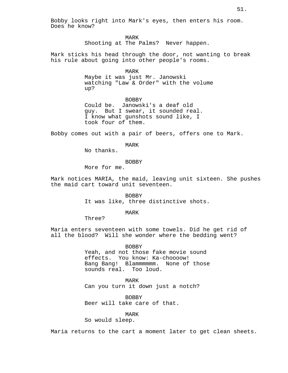Bobby looks right into Mark's eyes, then enters his room. Does he know?

> MARK Shooting at The Palms? Never happen.

Mark sticks his head through the door, not wanting to break his rule about going into other people's rooms.

MARK

Maybe it was just Mr. Janowski watching "Law & Order" with the volume up?

BOBBY Could be. Janowski's a deaf old guy. But I swear, it sounded real. I know what gunshots sound like, I took four of them.

Bobby comes out with a pair of beers, offers one to Mark.

MARK

No thanks.

**BOBBY** 

More for me.

Mark notices MARIA, the maid, leaving unit sixteen. She pushes the maid cart toward unit seventeen.

> BOBBY It was like, three distinctive shots.

> > MARK

Three?

Maria enters seventeen with some towels. Did he get rid of all the blood? Will she wonder where the bedding went?

> BOBBY Yeah, and not those fake movie sound effects. You know: Ka-choooow! Bang Bang! Blammmmmm. None of those sounds real. Too loud.

MARK Can you turn it down just a notch?

BOBBY Beer will take care of that.

MARK

So would sleep.

Maria returns to the cart a moment later to get clean sheets.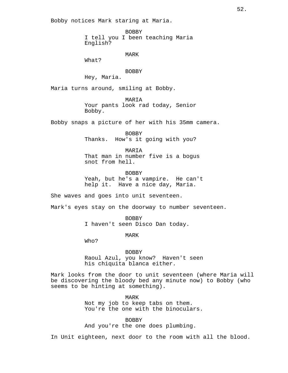Bobby notices Mark staring at Maria.

BOBBY I tell you I been teaching Maria English?

MARK

What?

## BOBBY

Hey, Maria.

Maria turns around, smiling at Bobby.

MARIA Your pants look rad today, Senior Bobby.

Bobby snaps a picture of her with his 35mm camera.

BOBBY Thanks. How's it going with you?

MARIA That man in number five is a bogus snot from hell.

BOBBY Yeah, but he's a vampire. He can't help it. Have a nice day, Maria.

She waves and goes into unit seventeen.

Mark's eyes stay on the doorway to number seventeen.

BOBBY I haven't seen Disco Dan today.

MARK

Who?

BOBBY Raoul Azul, you know? Haven't seen

his chiquita blanca either.

Mark looks from the door to unit seventeen (where Maria will be discovering the bloody bed any minute now) to Bobby (who seems to be hinting at something).

> MARK Not my job to keep tabs on them. You're the one with the binoculars.

**BOBBY** And you're the one does plumbing.

In Unit eighteen, next door to the room with all the blood.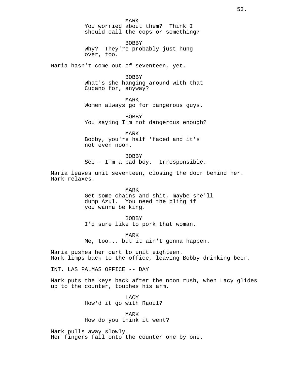BOBBY Why? They're probably just hung over, too.

Maria hasn't come out of seventeen, yet.

BOBBY What's she hanging around with that Cubano for, anyway?

MARK

Women always go for dangerous guys.

BOBBY You saying I'm not dangerous enough?

MARK Bobby, you're half 'faced and it's not even noon.

BOBBY See - I'm a bad boy. Irresponsible.

Maria leaves unit seventeen, closing the door behind her. Mark relaxes.

> MARK Get some chains and shit, maybe she'll dump Azul. You need the bling if you wanna be king.

BOBBY I'd sure like to pork that woman.

MARK Me, too... but it ain't gonna happen.

Maria pushes her cart to unit eighteen. Mark limps back to the office, leaving Bobby drinking beer.

INT. LAS PALMAS OFFICE -- DAY

Mark puts the keys back after the noon rush, when Lacy glides up to the counter, touches his arm.

> LACY How'd it go with Raoul?

MARK How do you think it went?

Mark pulls away slowly. Her fingers fall onto the counter one by one.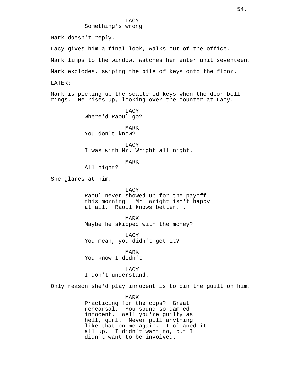LACY Something's wrong.

Mark doesn't reply.

Lacy gives him a final look, walks out of the office.

Mark limps to the window, watches her enter unit seventeen.

Mark explodes, swiping the pile of keys onto the floor.

LATER:

Mark is picking up the scattered keys when the door bell rings. He rises up, looking over the counter at Lacy.

> LACY Where'd Raoul go?

MARK You don't know?

**LACY** I was with Mr. Wright all night.

MARK

All night?

She glares at him.

### LACY

Raoul never showed up for the payoff this morning. Mr. Wright isn't happy at all. Raoul knows better...

MARK Maybe he skipped with the money?

LACY You mean, you didn't get it?

MARK

You know I didn't.

# **LACY**

I don't understand.

Only reason she'd play innocent is to pin the guilt on him.

MARK

Practicing for the cops? Great rehearsal. You sound so damned innocent. Well you're guilty as hell, girl. Never pull anything like that on me again. I cleaned it all up. I didn't want to, but I didn't want to be involved.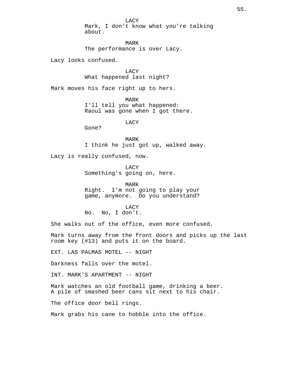LACY Mark, I don't know what you're talking about.

MARK The performance is over Lacy.

Lacy looks confused.

LACY What happened last night?

Mark moves his face right up to hers.

MARK I'll tell you what happened: Raoul was gone when I got there.

LACY

Gone?

MARK I think he just got up, walked away.

Lacy is really confused, now.

LACY Something's going on, here.

MARK Right. I'm not going to play your game, anymore. Do you understand?

LACY No. No, I don't.

She walks out of the office, even more confused.

Mark turns away from the front doors and picks up the last room key (#13) and puts it on the board.

EXT. LAS PALMAS MOTEL -- NIGHT

Darkness falls over the motel.

INT. MARK'S APARTMENT -- NIGHT

Mark watches an old football game, drinking a beer. A pile of smashed beer cans sit next to his chair.

The office door bell rings.

Mark grabs his cane to hobble into the office.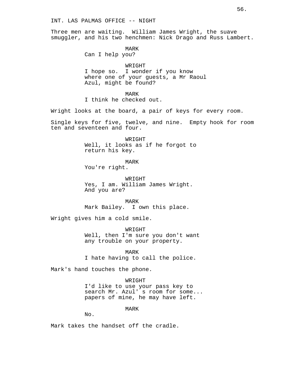## INT. LAS PALMAS OFFICE -- NIGHT

Three men are waiting. William James Wright, the suave smuggler, and his two henchmen: Nick Drago and Russ Lambert.

MARK

Can I help you?

WRIGHT I hope so. I wonder if you know where one of your guests, a Mr Raoul Azul, might be found?

MARK I think he checked out.

Wright looks at the board, a pair of keys for every room.

Single keys for five, twelve, and nine. Empty hook for room ten and seventeen and four.

> WRIGHT Well, it looks as if he forgot to return his key.

> > MARK

You're right.

WRIGHT Yes, I am. William James Wright. And you are?

MARK Mark Bailey. I own this place.

Wright gives him a cold smile.

WRIGHT Well, then I'm sure you don't want any trouble on your property.

MARK

I hate having to call the police.

Mark's hand touches the phone.

WRIGHT

I'd like to use your pass key to search Mr. Azul' s room for some... papers of mine, he may have left.

MARK

No.

Mark takes the handset off the cradle.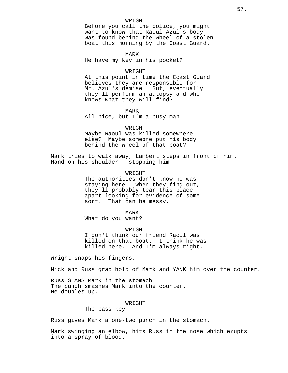## WRIGHT

Before you call the police, you might want to know that Raoul Azul's body was found behind the wheel of a stolen boat this morning by the Coast Guard.

MARK He have my key in his pocket?

### WRIGHT

At this point in time the Coast Guard believes they are responsible for Mr. Azul's demise. But, eventually they'll perform an autopsy and who knows what they will find?

### MARK

All nice, but I'm a busy man.

#### WRIGHT

Maybe Raoul was killed somewhere else? Maybe someone put his body behind the wheel of that boat?

Mark tries to walk away, Lambert steps in front of him. Hand on his shoulder - stopping him.

> WRIGHT The authorities don't know he was staying here. When they find out, they'll probably tear this place apart looking for evidence of some sort. That can be messy.

> > MARK

What do you want?

WRIGHT I don't think our friend Raoul was killed on that boat. I think he was killed here. And I'm always right.

Wright snaps his fingers.

Nick and Russ grab hold of Mark and YANK him over the counter.

Russ SLAMS Mark in the stomach. The punch smashes Mark into the counter. He doubles up.

#### WRIGHT

The pass key.

Russ gives Mark a one-two punch in the stomach.

Mark swinging an elbow, hits Russ in the nose which erupts into a spray of blood.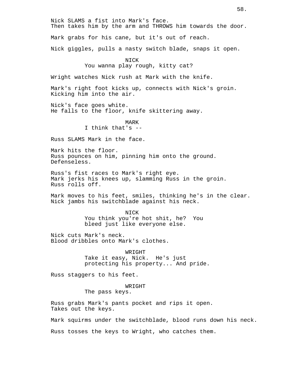Nick SLAMS a fist into Mark's face. Then takes him by the arm and THROWS him towards the door. Mark grabs for his cane, but it's out of reach. Nick giggles, pulls a nasty switch blade, snaps it open. NICK You wanna play rough, kitty cat?

Wright watches Nick rush at Mark with the knife.

Mark's right foot kicks up, connects with Nick's groin. Kicking him into the air.

Nick's face goes white. He falls to the floor, knife skittering away.

> MARK I think that's --

Russ SLAMS Mark in the face.

Mark hits the floor. Russ pounces on him, pinning him onto the ground. Defenseless.

Russ's fist races to Mark's right eye. Mark jerks his knees up, slamming Russ in the groin. Russ rolls off.

Mark moves to his feet, smiles, thinking he's in the clear. Nick jambs his switchblade against his neck.

> NICK You think you're hot shit, he? You bleed just like everyone else.

Nick cuts Mark's neck. Blood dribbles onto Mark's clothes.

> WRIGHT Take it easy, Nick. He's just protecting his property... And pride.

Russ staggers to his feet.

WRIGHT

The pass keys.

Russ grabs Mark's pants pocket and rips it open. Takes out the keys.

Mark squirms under the switchblade, blood runs down his neck.

Russ tosses the keys to Wright, who catches them.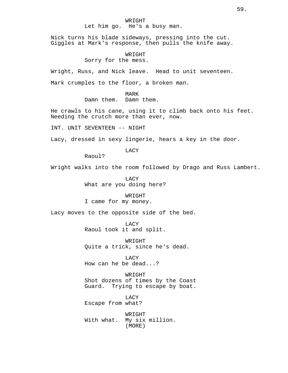## WRIGHT Let him go. He's a busy man.

Nick turns his blade sideways, pressing into the cut. Giggles at Mark's response, then pulls the knife away.

# WRIGHT

Sorry for the mess.

Wright, Russ, and Nick leave. Head to unit seventeen.

Mark crumples to the floor, a broken man.

MARK Damn them. Damn them.

He crawls to his cane, using it to climb back onto his feet. Needing the crutch more than ever, now.

INT. UNIT SEVENTEEN -- NIGHT

Lacy, dressed in sexy lingerie, hears a key in the door.

LACY

Raoul?

Wright walks into the room followed by Drago and Russ Lambert.

LACY What are you doing here?

WRIGHT I came for my money.

Lacy moves to the opposite side of the bed.

**LACY** Raoul took it and split.

WRIGHT Quite a trick, since he's dead.

LACY How can he be dead...?

WRIGHT Shot dozens of times by the Coast Guard. Trying to escape by boat.

LACY Escape from what?

WRIGHT With what. My six million. (MORE)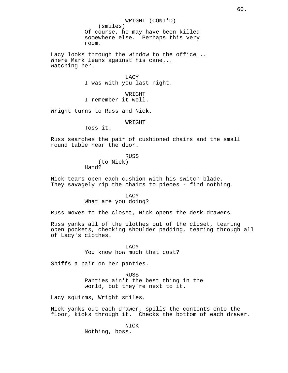WRIGHT (CONT'D) (smiles) Of course, he may have been killed somewhere else. Perhaps this very room. Lacy looks through the window to the office... Where Mark leans against his cane... Watching her. LACY I was with you last night. WRIGHT I remember it well. Wright turns to Russ and Nick. WRIGHT Toss it. Russ searches the pair of cushioned chairs and the small round table near the door. RUSS (to Nick) Hand? Nick tears open each cushion with his switch blade. They savagely rip the chairs to pieces - find nothing. LACY What are you doing? Russ moves to the closet, Nick opens the desk drawers. Russ yanks all of the clothes out of the closet, tearing open pockets, checking shoulder padding, tearing through all of Lacy's clothes.

> **LACY** You know how much that cost?

Sniffs a pair on her panties.

RUSS Panties ain't the best thing in the world, but they're next to it.

Lacy squirms, Wright smiles.

Nick yanks out each drawer, spills the contents onto the floor, kicks through it. Checks the bottom of each drawer.

> NICK Nothing, boss.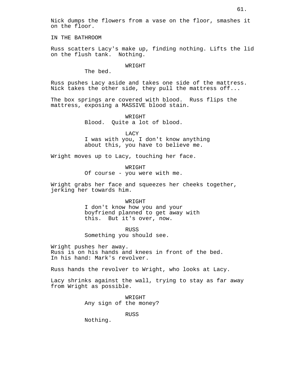Nick dumps the flowers from a vase on the floor, smashes it on the floor.

IN THE BATHROOM

Russ scatters Lacy's make up, finding nothing. Lifts the lid on the flush tank. Nothing.

#### WR TGHT

The bed.

Russ pushes Lacy aside and takes one side of the mattress. Nick takes the other side, they pull the mattress off...

The box springs are covered with blood. Russ flips the mattress, exposing a MASSIVE blood stain.

> WRIGHT Blood. Quite a lot of blood.

LACY I was with you, I don't know anything about this, you have to believe me.

Wright moves up to Lacy, touching her face.

WRIGHT Of course - you were with me.

Wright grabs her face and squeezes her cheeks together, jerking her towards him.

### WRIGHT

I don't know how you and your boyfriend planned to get away with this. But it's over, now.

RUSS Something you should see.

Wright pushes her away. Russ is on his hands and knees in front of the bed. In his hand: Mark's revolver.

Russ hands the revolver to Wright, who looks at Lacy.

Lacy shrinks against the wall, trying to stay as far away from Wright as possible.

> WRIGHT Any sign of the money?

> > RUSS

Nothing.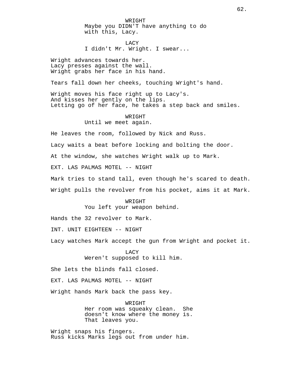WRIGHT Maybe you DIDN'T have anything to do with this, Lacy.

LACY I didn't Mr. Wright. I swear...

Wright advances towards her. Lacy presses against the wall. Wright grabs her face in his hand.

Tears fall down her cheeks, touching Wright's hand.

Wright moves his face right up to Lacy's. And kisses her gently on the lips. Letting go of her face, he takes a step back and smiles.

# WRIGHT Until we meet again.

He leaves the room, followed by Nick and Russ.

Lacy waits a beat before locking and bolting the door.

At the window, she watches Wright walk up to Mark.

EXT. LAS PALMAS MOTEL -- NIGHT

Mark tries to stand tall, even though he's scared to death.

Wright pulls the revolver from his pocket, aims it at Mark.

WRIGHT You left your weapon behind.

Hands the 32 revolver to Mark.

INT. UNIT EIGHTEEN -- NIGHT

Lacy watches Mark accept the gun from Wright and pocket it.

LACY Weren't supposed to kill him.

She lets the blinds fall closed.

EXT. LAS PALMAS MOTEL -- NIGHT

Wright hands Mark back the pass key.

WRIGHT Her room was squeaky clean. She doesn't know where the money is. That leaves you.

Wright snaps his fingers. Russ kicks Marks legs out from under him.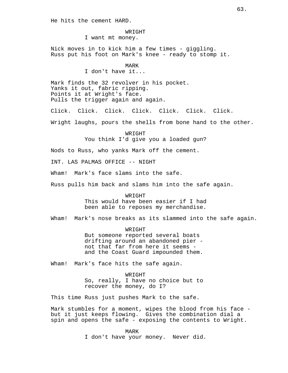He hits the cement HARD.

WRIGHT I want mt money.

Nick moves in to kick him a few times - giggling. Russ put his foot on Mark's knee - ready to stomp it.

MARK

I don't have it...

Mark finds the 32 revolver in his pocket. Yanks it out, fabric ripping. Points it at Wright's face. Pulls the trigger again and again.

Click. Click. Click. Click. Click. Click. Click.

Wright laughs, pours the shells from bone hand to the other.

WRIGHT You think I'd give you a loaded gun?

Nods to Russ, who yanks Mark off the cement.

INT. LAS PALMAS OFFICE -- NIGHT

Wham! Mark's face slams into the safe.

Russ pulls him back and slams him into the safe again.

WR TGHT This would have been easier if I had been able to reposes my merchandise.

Wham! Mark's nose breaks as its slammed into the safe again.

WRIGHT But someone reported several boats drifting around an abandoned pier not that far from here it seems and the Coast Guard impounded them.

Wham! Mark's face hits the safe again.

WRIGHT So, really, I have no choice but to recover the money, do I?

This time Russ just pushes Mark to the safe.

Mark stumbles for a moment, wipes the blood from his face but it just keeps flowing. Gives the combination dial a spin and opens the safe - exposing the contents to Wright.

> MARK I don't have your money. Never did.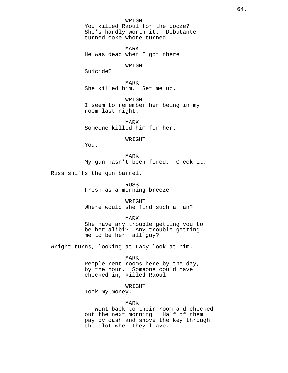WRIGHT You killed Raoul for the cooze? She's hardly worth it. Debutante turned coke whore turned --

MARK He was dead when I got there.

## WRIGHT

Suicide?

MARK She killed him. Set me up.

WR TGHT I seem to remember her being in my room last night.

MARK Someone killed him for her.

WRIGHT

You.

MARK My gun hasn't been fired. Check it.

Russ sniffs the gun barrel.

RUSS Fresh as a morning breeze.

WRIGHT Where would she find such a man?

MARK

She have any trouble getting you to be her alibi? Any trouble getting me to be her fall guy?

Wright turns, looking at Lacy look at him.

MARK

People rent rooms here by the day, by the hour. Someone could have checked in, killed Raoul --

WRIGHT

Took my money.

## MARK

-- went back to their room and checked out the next morning. Half of them pay by cash and shove the key through the slot when they leave.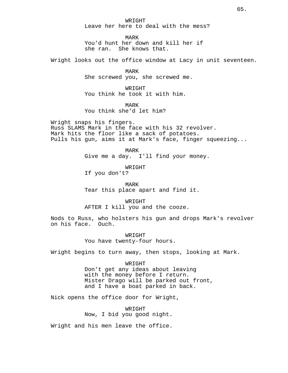WRIGHT Leave her here to deal with the mess?

MARK You'd hunt her down and kill her if she ran. She knows that.

Wright looks out the office window at Lacy in unit seventeen.

MARK She screwed you, she screwed me.

WRIGHT You think he took it with him.

MARK

You think she'd let him?

Wright snaps his fingers. Russ SLAMS Mark in the face with his 32 revolver. Mark hits the floor like a sack of potatoes. Pulls his gun, aims it at Mark's face, finger squeezing...

> MARK Give me a day. I'll find your money.

> > WRIGHT

If you don't?

MARK Tear this place apart and find it.

WRIGHT AFTER I kill you and the cooze.

Nods to Russ, who holsters his gun and drops Mark's revolver on his face. Ouch.

> WR TGHT You have twenty-four hours.

Wright begins to turn away, then stops, looking at Mark.

WRIGHT

Don't get any ideas about leaving with the money before I return. Mister Drago will be parked out front, and I have a boat parked in back.

Nick opens the office door for Wright,

WRIGHT Now, I bid you good night.

Wright and his men leave the office.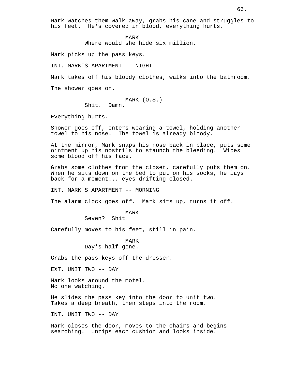Mark watches them walk away, grabs his cane and struggles to his feet. He's covered in blood, everything hurts.

> MARK Where would she hide six million.

Mark picks up the pass keys.

INT. MARK'S APARTMENT -- NIGHT

Mark takes off his bloody clothes, walks into the bathroom.

The shower goes on.

MARK (O.S.) Shit. Damn.

Everything hurts.

Shower goes off, enters wearing a towel, holding another towel to his nose. The towel is already bloody.

At the mirror, Mark snaps his nose back in place, puts some ointment up his nostrils to staunch the bleeding. Wipes some blood off his face.

Grabs some clothes from the closet, carefully puts them on. When he sits down on the bed to put on his socks, he lays back for a moment... eyes drifting closed.

INT. MARK'S APARTMENT -- MORNING

The alarm clock goes off. Mark sits up, turns it off.

MARK Seven? Shit.

Carefully moves to his feet, still in pain.

MARK Day's half gone.

Grabs the pass keys off the dresser.

EXT. UNIT TWO -- DAY

Mark looks around the motel. No one watching.

He slides the pass key into the door to unit two. Takes a deep breath, then steps into the room.

INT. UNIT TWO -- DAY

Mark closes the door, moves to the chairs and begins searching. Unzips each cushion and looks inside.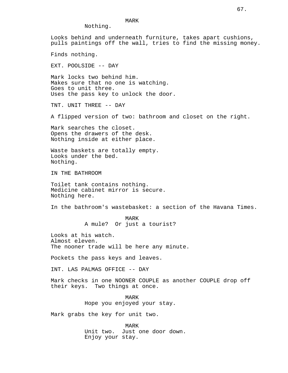# MARK

Nothing.

Looks behind and underneath furniture, takes apart cushions, pulls paintings off the wall, tries to find the missing money. Finds nothing. EXT. POOLSIDE -- DAY Mark locks two behind him. Makes sure that no one is watching. Goes to unit three. Uses the pass key to unlock the door. TNT. UNIT THREE -- DAY A flipped version of two: bathroom and closet on the right. Mark searches the closet. Opens the drawers of the desk. Nothing inside at either place. Waste baskets are totally empty. Looks under the bed. Nothing. IN THE BATHROOM Toilet tank contains nothing. Medicine cabinet mirror is secure. Nothing here. In the bathroom's wastebasket: a section of the Havana Times. MARK A mule? Or just a tourist? Looks at his watch. Almost eleven. The nooner trade will be here any minute. Pockets the pass keys and leaves. INT. LAS PALMAS OFFICE -- DAY Mark checks in one NOONER COUPLE as another COUPLE drop off their keys. Two things at once. MARK Hope you enjoyed your stay. Mark grabs the key for unit two. MARK Unit two. Just one door down. Enjoy your stay.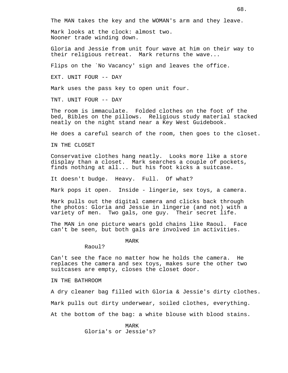The MAN takes the key and the WOMAN's arm and they leave.

Mark looks at the clock: almost two. Nooner trade winding down.

Gloria and Jessie from unit four wave at him on their way to their religious retreat. Mark returns the wave...

Flips on the `No Vacancy' sign and leaves the office.

EXT. UNIT FOUR -- DAY

Mark uses the pass key to open unit four.

TNT. UNIT FOUR -- DAY

The room is immaculate. Folded clothes on the foot of the bed, Bibles on the pillows. Religious study material stacked neatly on the night stand near a Key West Guidebook.

He does a careful search of the room, then goes to the closet.

IN THE CLOSET

Conservative clothes hang neatly. Looks more like a store display than a closet. Mark searches a couple of pockets, finds nothing at all... but his foot kicks a suitcase.

It doesn't budge. Heavy. Full. Of what?

Mark pops it open. Inside - lingerie, sex toys, a camera.

Mark pulls out the digital camera and clicks back through the photos: Gloria and Jessie in lingerie (and not) with a variety of men. Two gals, one guy. Their secret life.

The MAN in one picture wears gold chains like Raoul. Face can't be seen, but both gals are involved in activities.

MARK

Raoul?

Can't see the face no matter how he holds the camera. He replaces the camera and sex toys, makes sure the other two suitcases are empty, closes the closet door.

IN THE BATHROOM

A dry cleaner bag filled with Gloria & Jessie's dirty clothes.

Mark pulls out dirty underwear, soiled clothes, everything.

At the bottom of the bag: a white blouse with blood stains.

MARK Gloria's or Jessie's?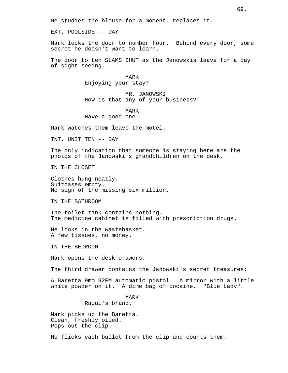Me studies the blouse for a moment, replaces it.

EXT. POOLSIDE -- DAY

Mark locks the door to number four. Behind every door, some secret he doesn't want to learn.

The door to ten SLAMS SHUT as the Janowskis leave for a day of sight seeing.

> MARK Enjoying your stay?

MR. JANOWSKI How is that any of your business?

## MARK Have a good one!

Mark watches them leave the motel.

TNT. UNIT TEN -- DAY

The only indication that someone is staying here are the photos of the Janowski's grandchildren on the desk.

IN THE CLOSET

Clothes hung neatly. Suitcases empty. No sign of the missing six million.

IN THE BATHROOM

The toilet tank contains nothing. The medicine cabinet is filled with prescription drugs.

He looks in the wastebasket. A few tissues, no money.

IN THE BEDROOM

Mark opens the desk drawers.

The third drawer contains the Janowski's secret treasures:

A Baretta 9mm 92FM automatic pistol. A mirror with a little white powder on it. A dime bag of cocaine. "Blue Lady".

## MARK Raoul's brand.

Mark picks up the Baretta. Clean, freshly oiled. Pops out the clip.

He flicks each bullet from the clip and counts them.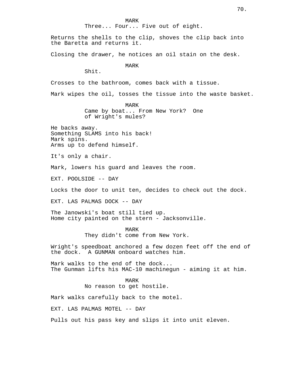MARK Three... Four... Five out of eight.

Returns the shells to the clip, shoves the clip back into the Baretta and returns it.

Closing the drawer, he notices an oil stain on the desk.

MARK

Shit.

Crosses to the bathroom, comes back with a tissue.

Mark wipes the oil, tosses the tissue into the waste basket.

MARK Came by boat... From New York? One of Wright's mules?

He backs away. Something SLAMS into his back! Mark spins. Arms up to defend himself.

It's only a chair.

Mark, lowers his guard and leaves the room.

EXT. POOLSIDE -- DAY

Locks the door to unit ten, decides to check out the dock.

EXT. LAS PALMAS DOCK -- DAY

The Janowski's boat still tied up. Home city painted on the stern - Jacksonville.

MARK

They didn't come from New York.

Wright's speedboat anchored a few dozen feet off the end of the dock. A GUNMAN onboard watches him.

Mark walks to the end of the dock... The Gunman lifts his MAC-10 machinegun - aiming it at him.

> MARK No reason to get hostile.

Mark walks carefully back to the motel.

EXT. LAS PALMAS MOTEL -- DAY

Pulls out his pass key and slips it into unit eleven.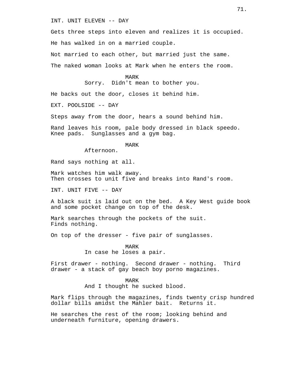INT. UNIT ELEVEN -- DAY

Gets three steps into eleven and realizes it is occupied.

He has walked in on a married couple.

Not married to each other, but married just the same. The naked woman looks at Mark when he enters the room.

MARK

Sorry. Didn't mean to bother you.

He backs out the door, closes it behind him.

EXT. POOLSIDE -- DAY

Steps away from the door, hears a sound behind him.

Rand leaves his room, pale body dressed in black speedo. Knee pads. Sunglasses and a gym bag.

### MARK

Afternoon.

Rand says nothing at all.

Mark watches him walk away. Then crosses to unit five and breaks into Rand's room.

INT. UNIT FIVE -- DAY

A black suit is laid out on the bed. A Key West guide book and some pocket change on top of the desk.

Mark searches through the pockets of the suit. Finds nothing.

On top of the dresser - five pair of sunglasses.

MARK In case he loses a pair.

First drawer - nothing. Second drawer - nothing. Third drawer - a stack of gay beach boy porno magazines.

> MARK And I thought he sucked blood.

Mark flips through the magazines, finds twenty crisp hundred dollar bills amidst the Mahler bait. Returns it.

He searches the rest of the room; looking behind and underneath furniture, opening drawers.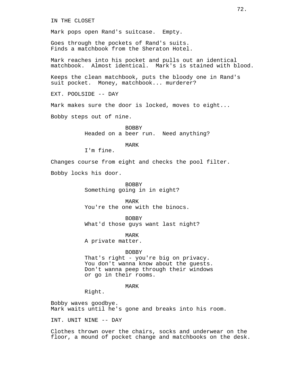IN THE CLOSET

Mark pops open Rand's suitcase. Empty.

Goes through the pockets of Rand's suits. Finds a matchbook from the Sheraton Hotel.

Mark reaches into his pocket and pulls out an identical matchbook. Almost identical. Mark's is stained with blood.

Keeps the clean matchbook, puts the bloody one in Rand's suit pocket. Money, matchbook... murderer?

EXT. POOLSIDE -- DAY

Mark makes sure the door is locked, moves to eight...

Bobby steps out of nine.

**BOBBY** Headed on a beer run. Need anything?

MARK

I'm fine.

Changes course from eight and checks the pool filter.

Bobby locks his door.

BOBBY Something going in in eight?

MARK You're the one with the binocs.

BOBBY What'd those guys want last night?

MARK A private matter.

#### BOBBY

That's right - you're big on privacy. You don't wanna know about the guests. Don't wanna peep through their windows or go in their rooms.

MARK

Right.

Bobby waves goodbye. Mark waits until he's gone and breaks into his room.

INT. UNIT NINE -- DAY

Clothes thrown over the chairs, socks and underwear on the floor, a mound of pocket change and matchbooks on the desk.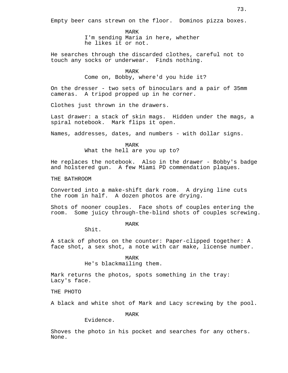MARK I'm sending Maria in here, whether he likes it or not.

He searches through the discarded clothes, careful not to touch any socks or underwear. Finds nothing.

> MARK Come on, Bobby, where'd you hide it?

On the dresser - two sets of binoculars and a pair of 35mm cameras. A tripod propped up in he corner.

Clothes just thrown in the drawers.

Last drawer: a stack of skin mags. Hidden under the mags, a spiral notebook. Mark flips it open.

Names, addresses, dates, and numbers - with dollar signs.

MARK

What the hell are you up to?

He replaces the notebook. Also in the drawer - Bobby's badge and holstered gun. A few Miami PD commendation plaques.

THE BATHROOM

Converted into a make-shift dark room. A drying line cuts the room in half. A dozen photos are drying.

Shots of nooner couples. Face shots of couples entering the room. Some juicy through-the-blind shots of couples screwing.

MARK

Shit.

A stack of photos on the counter: Paper-clipped together: A face shot, a sex shot, a note with car make, license number.

> MARK He's blackmailing them.

Mark returns the photos, spots something in the tray: Lacy's face.

THE PHOTO

A black and white shot of Mark and Lacy screwing by the pool.

MARK

Evidence.

Shoves the photo in his pocket and searches for any others. None.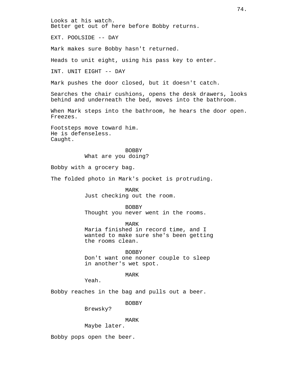Looks at his watch. Better get out of here before Bobby returns.

EXT. POOLSIDE -- DAY

Mark makes sure Bobby hasn't returned.

Heads to unit eight, using his pass key to enter.

INT. UNIT EIGHT -- DAY

Mark pushes the door closed, but it doesn't catch.

Searches the chair cushions, opens the desk drawers, looks behind and underneath the bed, moves into the bathroom.

When Mark steps into the bathroom, he hears the door open. Freezes.

Footsteps move toward him. He is defenseless. Caught.

> BOBBY What are you doing?

Bobby with a grocery bag.

The folded photo in Mark's pocket is protruding.

MARK Just checking out the room.

BOBBY Thought you never went in the rooms.

MARK

Maria finished in record time, and I wanted to make sure she's been getting the rooms clean.

BOBBY Don't want one nooner couple to sleep in another's wet spot.

MARK

Yeah.

Bobby reaches in the bag and pulls out a beer.

BOBBY

Brewsky?

MARK

Maybe later.

Bobby pops open the beer.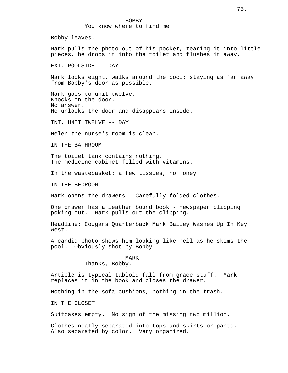Bobby leaves.

Mark pulls the photo out of his pocket, tearing it into little pieces, he drops it into the toilet and flushes it away.

EXT. POOLSIDE -- DAY

Mark locks eight, walks around the pool: staying as far away from Bobby's door as possible.

Mark goes to unit twelve. Knocks on the door. No answer. He unlocks the door and disappears inside.

INT. UNIT TWELVE -- DAY

Helen the nurse's room is clean.

IN THE BATHROOM

The toilet tank contains nothing. The medicine cabinet filled with vitamins.

In the wastebasket: a few tissues, no money.

IN THE BEDROOM

Mark opens the drawers. Carefully folded clothes.

One drawer has a leather bound book - newspaper clipping poking out. Mark pulls out the clipping.

Headline: Cougars Quarterback Mark Bailey Washes Up In Key West.

A candid photo shows him looking like hell as he skims the pool. Obviously shot by Bobby.

#### MARK

Thanks, Bobby.

Article is typical tabloid fall from grace stuff. Mark replaces it in the book and closes the drawer.

Nothing in the sofa cushions, nothing in the trash.

IN THE CLOSET

Suitcases empty. No sign of the missing two million.

Clothes neatly separated into tops and skirts or pants. Also separated by color. Very organized.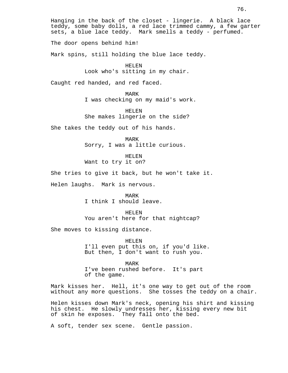Hanging in the back of the closet - lingerie. A black lace teddy, some baby dolls, a red lace trimmed cammy, a few garter sets, a blue lace teddy. Mark smells a teddy - perfumed. The door opens behind him! Mark spins, still holding the blue lace teddy. HELEN Look who's sitting in my chair. Caught red handed, and red faced. MARK I was checking on my maid's work. HELEN She makes lingerie on the side? She takes the teddy out of his hands. MARK Sorry, I was a little curious. HELEN Want to try it on? She tries to give it back, but he won't take it. Helen laughs. Mark is nervous. MARK I think I should leave. HELEN You aren't here for that nightcap? She moves to kissing distance. HELEN I'll even put this on, if you'd like. But then, I don't want to rush you. MARK

I've been rushed before. It's part of the game.

Mark kisses her. Hell, it's one way to get out of the room without any more questions. She tosses the teddy on a chair.

Helen kisses down Mark's neck, opening his shirt and kissing his chest. He slowly undresses her, kissing every new bit of skin he exposes. They fall onto the bed.

A soft, tender sex scene. Gentle passion.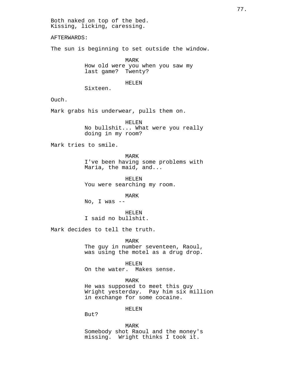Both naked on top of the bed. Kissing, licking, caressing.

AFTERWARDS:

The sun is beginning to set outside the window.

MARK How old were you when you saw my last game? Twenty?

#### HELEN

Sixteen.

Ouch.

Mark grabs his underwear, pulls them on.

HELEN No bullshit... What were you really doing in my room?

Mark tries to smile.

MARK I've been having some problems with Maria, the maid, and...

HELEN You were searching my room.

MARK

No, I was  $-$ 

HELEN I said no bullshit.

Mark decides to tell the truth.

MARK The guy in number seventeen, Raoul, was using the motel as a drug drop.

HELEN On the water. Makes sense.

MARK

He was supposed to meet this guy Wright yesterday. Pay him six million in exchange for some cocaine.

HELEN

But?

MARK

Somebody shot Raoul and the money's missing. Wright thinks I took it.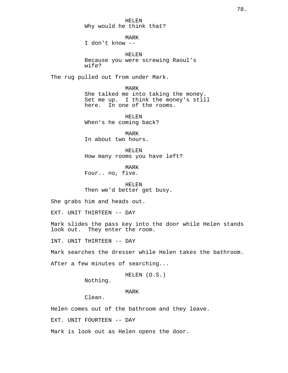HELEN Why would he think that?

MARK

I don't know --

HELEN Because you were screwing Raoul's wife?

The rug pulled out from under Mark.

MARK She talked me into taking the money. Set me up. I think the money's still here. In one of the rooms.

HELEN When's he coming back?

MARK In about two hours.

HELEN How many rooms you have left?

MARK Four.. no, five.

HELEN Then we'd better get busy.

She grabs him and heads out.

EXT. UNIT THIRTEEN -- DAY

Mark slides the pass key into the door while Helen stands look out. They enter the room.

INT. UNIT THIRTEEN -- DAY

Mark searches the dresser while Helen takes the bathroom.

After a few minutes of searching...

HELEN (O.S.)

Nothing.

MARK

Clean.

Helen comes out of the bathroom and they leave.

EXT. UNIT FOURTEEN -- DAY

Mark is look out as Helen opens the door.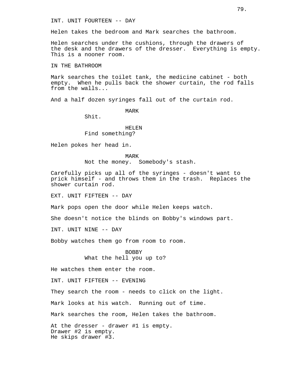INT. UNIT FOURTEEN -- DAY

Helen takes the bedroom and Mark searches the bathroom.

Helen searches under the cushions, through the drawers of the desk and the drawers of the dresser. Everything is empty. This is a nooner room.

IN THE BATHROOM

Mark searches the toilet tank, the medicine cabinet - both empty. When he pulls back the shower curtain, the rod falls from the walls...

And a half dozen syringes fall out of the curtain rod.

MARK

Shit.

# HELEN Find something?

Helen pokes her head in.

MARK Not the money. Somebody's stash.

Carefully picks up all of the syringes - doesn't want to prick himself - and throws them in the trash. Replaces the shower curtain rod.

EXT. UNIT FIFTEEN -- DAY

Mark pops open the door while Helen keeps watch.

She doesn't notice the blinds on Bobby's windows part.

INT. UNIT NINE -- DAY

Bobby watches them go from room to room.

**BOBBY** What the hell you up to?

He watches them enter the room.

INT. UNIT FIFTEEN -- EVENING

They search the room - needs to click on the light.

Mark looks at his watch. Running out of time.

Mark searches the room, Helen takes the bathroom.

At the dresser - drawer #1 is empty. Drawer #2 is empty. He skips drawer #3.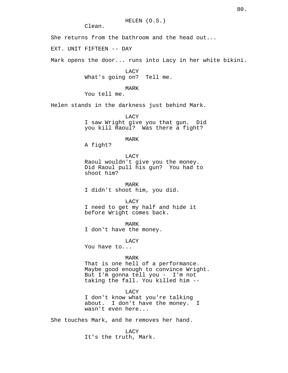HELEN (O.S.)

Clean.

She returns from the bathroom and the head out...

EXT. UNIT FIFTEEN -- DAY

Mark opens the door... runs into Lacy in her white bikini.

LACY What's going on? Tell me.

# MARK

You tell me.

Helen stands in the darkness just behind Mark.

LACY I saw Wright give you that gun. Did you kill Raoul? Was there a fight?

MARK

A fight?

#### LACY

Raoul wouldn't give you the money. Did Raoul pull his gun? You had to shoot him?

MARK I didn't shoot him, you did.

LACY

I need to get my half and hide it before Wright comes back.

MARK

I don't have the money.

LACY

You have to...

## MARK

That is one hell of a performance. Maybe good enough to convince Wright. But I'm gonna tell you - I'm not taking the fall. You killed him --

#### LACY

I don't know what you're talking about. I don't have the money. I wasn't even here...

She touches Mark, and he removes her hand.

#### LACY

It's the truth, Mark.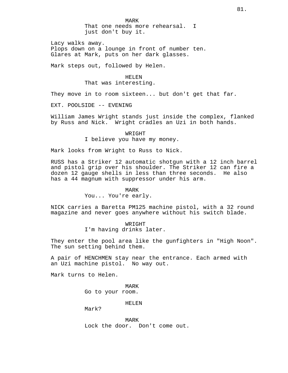Lacy walks away. Plops down on a lounge in front of number ten. Glares at Mark, puts on her dark glasses.

Mark steps out, followed by Helen.

HELEN That was interesting.

They move in to room sixteen... but don't get that far.

EXT. POOLSIDE -- EVENING

William James Wright stands just inside the complex, flanked by Russ and Nick. Wright cradles an Uzi in both hands.

> WRIGHT I believe you have my money.

Mark looks from Wright to Russ to Nick.

RUSS has a Striker 12 automatic shotgun with a 12 inch barrel and pistol grip over his shoulder. The Striker 12 can fire a dozen 12 gauge shells in less than three seconds. He also has a 44 magnum with suppressor under his arm.

#### MARK

# You... You're early.

NICK carries a Baretta PM125 machine pistol, with a 32 round magazine and never goes anywhere without his switch blade.

> WRIGHT I'm having drinks later.

They enter the pool area like the gunfighters in "High Noon". The sun setting behind them.

A pair of HENCHMEN stay near the entrance. Each armed with an Uzi machine pistol. No way out.

Mark turns to Helen.

MARK Go to your room.

HELEN

Mark?

MARK Lock the door. Don't come out.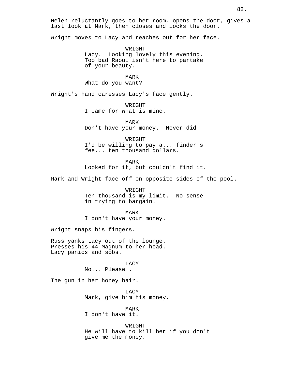Helen reluctantly goes to her room, opens the door, gives a last look at Mark, then closes and locks the door.

Wright moves to Lacy and reaches out for her face.

WRIGHT Lacy. Looking lovely this evening. Too bad Raoul isn't here to partake of your beauty.

MARK What do you want?

Wright's hand caresses Lacy's face gently.

WRIGHT I came for what is mine.

MARK Don't have your money. Never did.

WRIGHT I'd be willing to pay a... finder's fee... ten thousand dollars.

MARK

Looked for it, but couldn't find it.

Mark and Wright face off on opposite sides of the pool.

WRIGHT Ten thousand is my limit. No sense in trying to bargain.

MARK

I don't have your money.

Wright snaps his fingers.

Russ yanks Lacy out of the lounge. Presses his 44 Magnum to her head. Lacy panics and sobs.

> LACY No... Please..

The gun in her honey hair.

LACY Mark, give him his money.

MARK I don't have it.

WRIGHT He will have to kill her if you don't give me the money.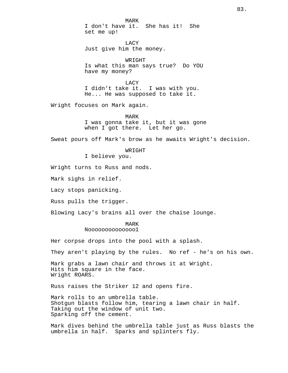MARK I don't have it. She has it! She set me up!

LACY Just give him the money.

WRIGHT Is what this man says true? Do YOU have my money?

LACY I didn't take it. I was with you. He... He was supposed to take it.

Wright focuses on Mark again.

MARK I was gonna take it, but it was gone when I got there. Let her go.

Sweat pours off Mark's brow as he awaits Wright's decision.

WRIGHT

I believe you.

Wright turns to Russ and nods.

Mark sighs in relief.

Lacy stops panicking.

Russ pulls the trigger.

Blowing Lacy's brains all over the chaise lounge.

#### MARK

Noooooooooooooo1

Her corpse drops into the pool with a splash.

They aren't playing by the rules. No ref - he's on his own.

Mark grabs a lawn chair and throws it at Wright. Hits him square in the face. Wright ROARS.

Russ raises the Striker 12 and opens fire.

Mark rolls to an umbrella table. Shotgun blasts follow him, tearing a lawn chair in half. Taking out the window of unit two. Sparking off the cement.

Mark dives behind the umbrella table just as Russ blasts the umbrella in half. Sparks and splinters fly.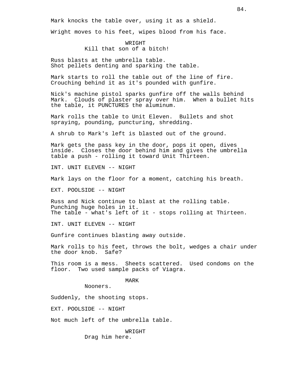Mark knocks the table over, using it as a shield.

Wright moves to his feet, wipes blood from his face.

WRIGHT Kill that son of a bitch!

Russ blasts at the umbrella table. Shot pellets denting and sparking the table.

Mark starts to roll the table out of the line of fire. Crouching behind it as it's pounded with gunfire.

Nick's machine pistol sparks gunfire off the walls behind Mark. Clouds of plaster spray over him. When a bullet hits the table, it PUNCTURES the aluminum.

Mark rolls the table to Unit Eleven. Bullets and shot spraying, pounding, puncturing, shredding.

A shrub to Mark's left is blasted out of the ground.

Mark gets the pass key in the door, pops it open, dives inside. Closes the door behind him and gives the umbrella table a push - rolling it toward Unit Thirteen.

INT. UNIT ELEVEN -- NIGHT

Mark lays on the floor for a moment, catching his breath.

EXT. POOLSIDE -- NIGHT

Russ and Nick continue to blast at the rolling table. Punching huge holes in it. The table - what's left of it - stops rolling at Thirteen.

INT. UNIT ELEVEN -- NIGHT

Gunfire continues blasting away outside.

Mark rolls to his feet, throws the bolt, wedges a chair under the door knob. Safe?

This room is a mess. Sheets scattered. Used condoms on the floor. Two used sample packs of Viagra.

MARK

Nooners.

Suddenly, the shooting stops.

EXT. POOLSIDE -- NIGHT

Not much left of the umbrella table.

WRIGHT Drag him here.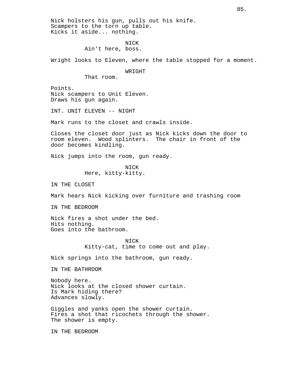Nick holsters his gun, pulls out his knife. Scampers to the torn up table. Kicks it aside... nothing.

> NICK Ain't here, boss.

Wright looks to Eleven, where the table stopped for a moment.

WRIGHT

That room.

Points. Nick scampers to Unit Eleven. Draws his gun again.

INT. UNIT ELEVEN -- NIGHT

Mark runs to the closet and crawls inside.

Closes the closet door just as Nick kicks down the door to room eleven. Wood splinters. The chair in front of the door becomes kindling.

Nick jumps into the room, gun ready.

NICK Here, kitty-kitty.

IN THE CLOSET

Mark hears Nick kicking over furniture and trashing room

IN THE BEDROOM

Nick fires a shot under the bed. Hits nothing. Goes into the bathroom.

> NICK Kitty-cat, time to come out and play.

Nick springs into the bathroom, gun ready.

IN THE BATHROOM

Nobody here. Nick looks at the closed shower curtain. Is Mark hiding there? Advances slowly.

Giggles and yanks open the shower curtain. Fires a shot that ricochets through the shower. The shower is empty.

IN THE BEDROOM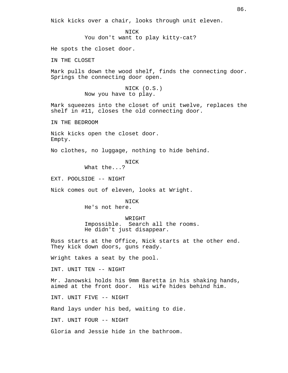Nick kicks over a chair, looks through unit eleven.

NICK You don't want to play kitty-cat?

He spots the closet door.

IN THE CLOSET

Mark pulls down the wood shelf, finds the connecting door. Springs the connecting door open.

> NICK (O.S.) Now you have to play.

Mark squeezes into the closet of unit twelve, replaces the shelf in #11, closes the old connecting door.

IN THE BEDROOM

Nick kicks open the closet door. Empty.

No clothes, no luggage, nothing to hide behind.

NICK

What the...?

EXT. POOLSIDE -- NIGHT

Nick comes out of eleven, looks at Wright.

NICK He's not here.

WRIGHT Impossible. Search all the rooms. He didn't just disappear.

Russ starts at the Office, Nick starts at the other end. They kick down doors, guns ready.

Wright takes a seat by the pool.

INT. UNIT TEN -- NIGHT

Mr. Janowski holds his 9mm Baretta in his shaking hands, aimed at the front door. His wife hides behind him.

INT. UNIT FIVE -- NIGHT

Rand lays under his bed, waiting to die.

INT. UNIT FOUR -- NIGHT

Gloria and Jessie hide in the bathroom.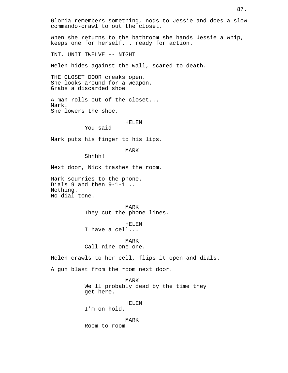Gloria remembers something, nods to Jessie and does a slow commando-crawl to out the closet.

When she returns to the bathroom she hands Jessie a whip, keeps one for herself... ready for action.

INT. UNIT TWELVE -- NIGHT

Helen hides against the wall, scared to death.

THE CLOSET DOOR creaks open. She looks around for a weapon. Grabs a discarded shoe.

A man rolls out of the closet... Mark. She lowers the shoe.

HELEN

You said --

Mark puts his finger to his lips.

MARK

Shhhh!

Next door, Nick trashes the room.

Mark scurries to the phone. Dials 9 and then 9-1-1... Nothing. No dial tone.

> MARK They cut the phone lines.

HELEN I have a cell...

MARK Call nine one one.

Helen crawls to her cell, flips it open and dials.

A gun blast from the room next door.

MARK We'll probably dead by the time they get here.

HELEN I'm on hold.

MARK Room to room.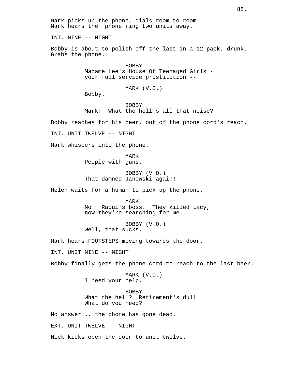Mark picks up the phone, dials room to room. Mark hears the phone ring two units away. INT. NINE -- NIGHT Bobby is about to polish off the last in a 12 pack, drunk. Grabs the phone. **BOBBY** Madame Lee's House Of Teenaged Girls your full service prostitution -- MARK (V.O.) Bobby. BOBBY Mark! What the hell's all that noise? Bobby reaches for his beer, out of the phone cord's reach. INT. UNIT TWELVE -- NIGHT Mark whispers into the phone. MARK People with guns. BOBBY (V.O.) That damned Janowski again! Helen waits for a human to pick up the phone. MARK No. Raoul's boss. They killed Lacy, now they're searching for me. BOBBY (V.O.) Well, that sucks. Mark hears FOOTSTEPS moving towards the door. INT. UNIT NINE -- NIGHT Bobby finally gets the phone cord to reach to the last beer. MARK (V.O.) I need your help. BOBBY What the hell? Retirement's dull. What do you need? No answer... the phone has gone dead. EXT. UNIT TWELVE -- NIGHT Nick kicks open the door to unit twelve.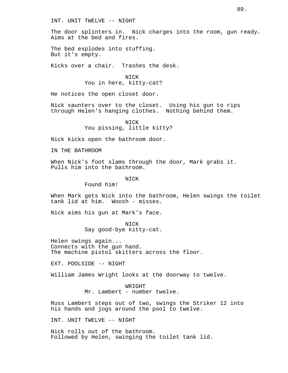INT. UNIT TWELVE -- NIGHT

The door splinters in. Nick charges into the room, gun ready. Aims at the bed and fires.

The bed explodes into stuffing. But it's empty.

Kicks over a chair. Trashes the desk.

**NICK** You in here, kitty-cat?

He notices the open closet door.

Nick saunters over to the closet. Using his gun to rips through Helen's hanging clothes. Nothing behind them.

> NICK You pissing, little kitty?

Nick kicks open the bathroom door.

IN THE BATHROOM

When Nick's foot slams through the door, Mark grabs it. Pulls him into the bathroom.

#### NICK

Found him!

When Mark gets Nick into the bathroom, Helen swings the toilet tank lid at him. Woosh - misses.

Nick aims his gun at Mark's face.

NICK

Say good-bye kitty-cat.

Helen swings again... Connects with the gun hand. The machine pistol skitters across the floor.

EXT. POOLSIDE -- NIGHT

William James Wright looks at the doorway to twelve.

WR TGHT Mr. Lambert - number twelve.

Russ Lambert steps out of two, swings the Striker 12 into his hands and jogs around the pool to twelve.

INT. UNIT TWELVE -- NIGHT

Nick rolls out of the bathroom. Followed by Helen, swinging the toilet tank lid.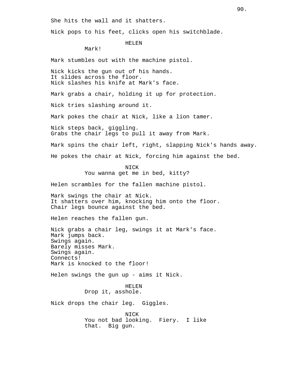She hits the wall and it shatters.

Nick pops to his feet, clicks open his switchblade.

HELEN

Mark!

Mark stumbles out with the machine pistol.

Nick kicks the gun out of his hands. It slides across the floor. Nick slashes his knife at Mark's face.

Mark grabs a chair, holding it up for protection.

Nick tries slashing around it.

Mark pokes the chair at Nick, like a lion tamer.

Nick steps back, giggling. Grabs the chair legs to pull it away from Mark.

Mark spins the chair left, right, slapping Nick's hands away.

He pokes the chair at Nick, forcing him against the bed.

NICK

You wanna get me in bed, kitty?

Helen scrambles for the fallen machine pistol.

Mark swings the chair at Nick. It shatters over him, knocking him onto the floor. Chair legs bounce against the bed.

Helen reaches the fallen gun.

Nick grabs a chair leg, swings it at Mark's face. Mark jumps back. Swings again. Barely misses Mark. Swings again. Connects! Mark is knocked to the floor!

Helen swings the gun up - aims it Nick.

HELEN Drop it, asshole.

Nick drops the chair leg. Giggles.

NICK You not bad looking. Fiery. I like that. Big gun.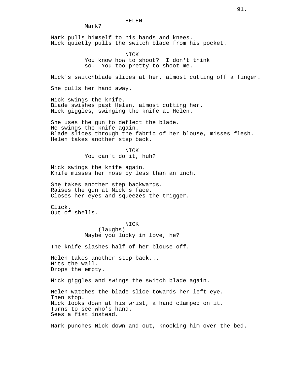HELEN

Mark?

Mark pulls himself to his hands and knees. Nick quietly pulls the switch blade from his pocket.

NICK

You know how to shoot? I don't think so. You too pretty to shoot me.

Nick's switchblade slices at her, almost cutting off a finger.

She pulls her hand away.

Nick swings the knife. Blade swishes past Helen, almost cutting her. Nick giggles, swinging the knife at Helen.

She uses the gun to deflect the blade. He swings the knife again. Blade slices through the fabric of her blouse, misses flesh. Helen takes another step back.

> NICK You can't do it, huh?

Nick swings the knife again. Knife misses her nose by less than an inch.

She takes another step backwards. Raises the gun at Nick's face. Closes her eyes and squeezes the trigger.

Click. Out of shells.

> NICK (laughs) Maybe you lucky in love, he?

The knife slashes half of her blouse off.

Helen takes another step back... Hits the wall. Drops the empty.

Nick giggles and swings the switch blade again.

Helen watches the blade slice towards her left eye. Then stop. Nick looks down at his wrist, a hand clamped on it. Turns to see who's hand. Sees a fist instead.

Mark punches Nick down and out, knocking him over the bed.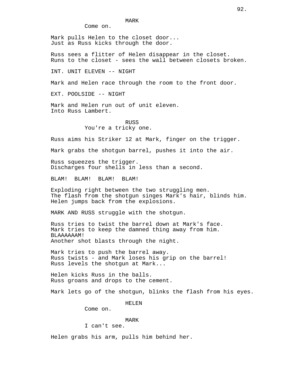MARK

Come on.

Mark pulls Helen to the closet door... Just as Russ kicks through the door.

Russ sees a flitter of Helen disappear in the closet. Runs to the closet - sees the wall between closets broken.

INT. UNIT ELEVEN -- NIGHT

Mark and Helen race through the room to the front door.

EXT. POOLSIDE -- NIGHT

Mark and Helen run out of unit eleven. Into Russ Lambert.

> RUSS You're a tricky one.

Russ aims his Striker 12 at Mark, finger on the trigger.

Mark grabs the shotgun barrel, pushes it into the air.

Russ squeezes the trigger. Discharges four shells in less than a second.

BLAM! BLAM! BLAM! BLAM!

Exploding right between the two struggling men. The flash from the shotgun singes Mark's hair, blinds him. Helen jumps back from the explosions.

MARK AND RUSS struggle with the shotgun.

Russ tries to twist the barrel down at Mark's face. Mark tries to keep the damned thing away from him. BLAAAAAAM! Another shot blasts through the night.

Mark tries to push the barrel away. Russ twists - and Mark loses his grip on the barrel! Russ levels the shotgun at Mark...

Helen kicks Russ in the balls. Russ groans and drops to the cement.

Mark lets go of the shotgun, blinks the flash from his eyes.

HELEN

Come on.

#### MARK

I can't see.

Helen grabs his arm, pulls him behind her.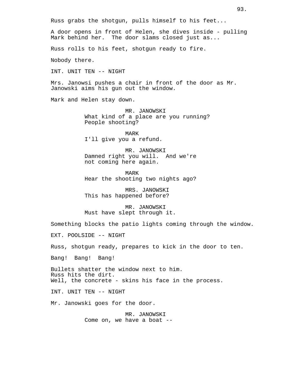Russ grabs the shotgun, pulls himself to his feet...

A door opens in front of Helen, she dives inside - pulling Mark behind her. The door slams closed just as...

Russ rolls to his feet, shotgun ready to fire.

Nobody there.

INT. UNIT TEN -- NIGHT

Mrs. Janowsi pushes a chair in front of the door as Mr. Janowski aims his gun out the window.

Mark and Helen stay down.

MR. JANOWSKI What kind of a place are you running? People shooting?

MARK I'll give you a refund.

MR. JANOWSKI Damned right you will. And we're not coming here again.

MARK Hear the shooting two nights ago?

MRS. JANOWSKI This has happened before?

MR. JANOWSKI Must have slept through it.

Something blocks the patio lights coming through the window.

EXT. POOLSIDE -- NIGHT

Russ, shotgun ready, prepares to kick in the door to ten.

Bang! Bang! Bang!

Bullets shatter the window next to him. Russ hits the dirt. Well, the concrete - skins his face in the process.

INT. UNIT TEN -- NIGHT

Mr. Janowski goes for the door.

MR. JANOWSKI Come on, we have a boat --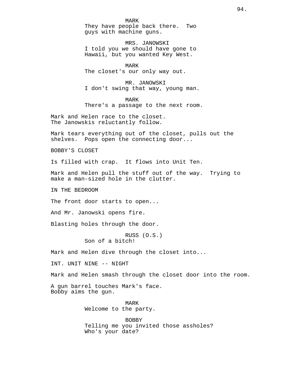MARK They have people back there. Two guys with machine guns.

MRS. JANOWSKI I told you we should have gone to Hawaii, but you wanted Key West.

MARK The closet's our only way out.

MR. JANOWSKI I don't swing that way, young man.

MARK There's a passage to the next room.

Mark and Helen race to the closet. The Janowskis reluctantly follow.

Mark tears everything out of the closet, pulls out the shelves. Pops open the connecting door...

BOBBY'S CLOSET

Is filled with crap. It flows into Unit Ten.

Mark and Helen pull the stuff out of the way. Trying to make a man-sized hole in the clutter.

IN THE BEDROOM

The front door starts to open...

And Mr. Janowski opens fire.

Blasting holes through the door.

RUSS (O.S.) Son of a bitch!

Mark and Helen dive through the closet into...

INT. UNIT NINE -- NIGHT

Mark and Helen smash through the closet door into the room.

A gun barrel touches Mark's face. Bobby aims the gun.

> MARK Welcome to the party.

BOBBY Telling me you invited those assholes? Who's your date?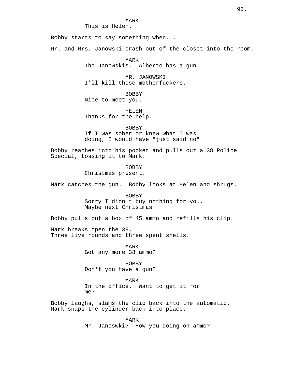MARK

This is Helen.

Bobby starts to say something when...

Mr. and Mrs. Janowski crash out of the closet into the room.

MARK The Janowskis. Alberto has a gun.

MR. JANOWSKI I'll kill those motherfuckers.

BOBBY Nice to meet you.

HELEN Thanks for the help.

**BOBBY** If I was sober or knew what I was doing, I would have "just said no"

Bobby reaches into his pocket and pulls out a 38 Police Special, tossing it to Mark.

> BOBBY Christmas present.

Mark catches the gun. Bobby looks at Helen and shrugs.

BOBBY Sorry I didn't buy nothing for you. Maybe next Christmas.

Bobby pulls out a box of 45 ammo and refills his clip.

Mark breaks open the 38. Three live rounds and three spent shells.

> MARK Got any more 38 ammo?

> BOBBY Don't you have a gun?

MARK In the office. Want to get it for me?

Bobby laughs, slams the clip back into the automatic. Mark snaps the cylinder back into place.

> MARK Mr. Janoswki? How you doing on ammo?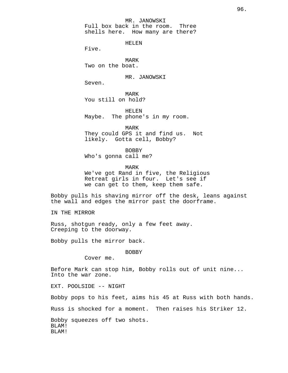#### MR. JANOWSKI

Full box back in the room. Three shells here. How many are there?

HELEN

Five.

MARK Two on the boat.

MR. JANOWSKI

Seven.

MARK You still on hold?

HELEN Maybe. The phone's in my room.

MARK They could GPS it and find us. Not likely. Gotta cell, Bobby?

BOBBY Who's gonna call me?

MARK

We've got Rand in five, the Religious Retreat girls in four. Let's see if we can get to them, keep them safe.

Bobby pulls his shaving mirror off the desk, leans against the wall and edges the mirror past the doorframe.

IN THE MIRROR

Russ, shotgun ready, only a few feet away. Creeping to the doorway.

Bobby pulls the mirror back.

BOBBY

Cover me.

Before Mark can stop him, Bobby rolls out of unit nine... Into the war zone.

EXT. POOLSIDE -- NIGHT

Bobby pops to his feet, aims his 45 at Russ with both hands.

Russ is shocked for a moment. Then raises his Striker 12.

Bobby squeezes off two shots. BLAM! BLAM!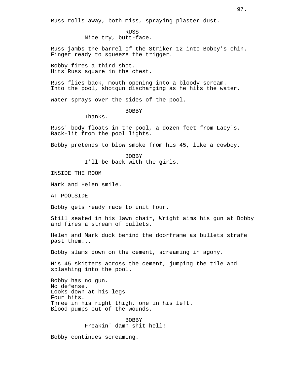Russ rolls away, both miss, spraying plaster dust.

RUSS Nice try, butt-face.

Russ jambs the barrel of the Striker 12 into Bobby's chin. Finger ready to squeeze the trigger.

Bobby fires a third shot. Hits Russ square in the chest.

Russ flies back, mouth opening into a bloody scream. Into the pool, shotgun discharging as he hits the water.

Water sprays over the sides of the pool.

BOBBY

Thanks.

Russ' body floats in the pool, a dozen feet from Lacy's. Back-lit from the pool lights.

Bobby pretends to blow smoke from his 45, like a cowboy.

BOBBY I'll be back with the girls.

INSIDE THE ROOM

Mark and Helen smile.

AT POOLSIDE

Bobby gets ready race to unit four.

Still seated in his lawn chair, Wright aims his gun at Bobby and fires a stream of bullets.

Helen and Mark duck behind the doorframe as bullets strafe past them...

Bobby slams down on the cement, screaming in agony.

His 45 skitters across the cement, jumping the tile and splashing into the pool.

Bobby has no gun. No defense. Looks down at his legs. Four hits. Three in his right thigh, one in his left. Blood pumps out of the wounds.

> BOBBY Freakin' damn shit hell!

Bobby continues screaming.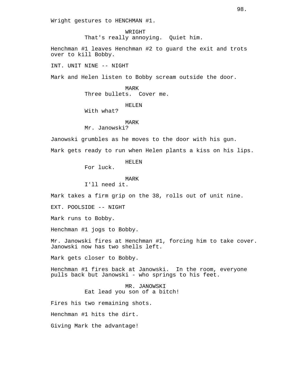Wright gestures to HENCHMAN #1.

WRIGHT That's really annoying. Quiet him.

Henchman #1 leaves Henchman #2 to guard the exit and trots over to kill Bobby.

INT. UNIT NINE -- NIGHT

Mark and Helen listen to Bobby scream outside the door.

MARK Three bullets. Cover me.

HELEN

With what?

MARK

Mr. Janowski?

Janowski grumbles as he moves to the door with his gun.

Mark gets ready to run when Helen plants a kiss on his lips.

HELEN

For luck.

MARK

I'll need it.

Mark takes a firm grip on the 38, rolls out of unit nine.

EXT. POOLSIDE -- NIGHT

Mark runs to Bobby.

Henchman #1 jogs to Bobby.

Mr. Janowski fires at Henchman #1, forcing him to take cover. Janowski now has two shells left.

Mark gets closer to Bobby.

Henchman #1 fires back at Janowski. In the room, everyone pulls back but Janowski - who springs to his feet.

> MR. JANOWSKI Eat lead you son of a bitch!

Fires his two remaining shots.

Henchman #1 hits the dirt.

Giving Mark the advantage!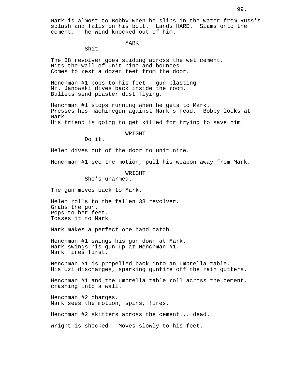#### MARK

Shit.

The 38 revolver goes sliding across the wet cement. Hits the wall of unit nine and bounces. Comes to rest a dozen feet from the door.

Henchman #1 pops to his feet - gun blasting. Mr. Janowski dives back inside the room. Bullets send plaster dust flying.

Henchman #1 stops running when he gets to Mark. Presses his machinegun against Mark's head. Bobby looks at Mark. His friend is going to get killed for trying to save him.

WRIGHT

Do it.

Helen dives out of the door to unit nine.

Henchman #1 see the motion, pull his weapon away from Mark.

WRIGHT

She's unarmed.

The gun moves back to Mark.

Helen rolls to the fallen 38 revolver. Grabs the gun. Pops to her feet. Tosses it to Mark.

Mark makes a perfect one hand catch.

Henchman #1 swings his gun down at Mark. Mark swings his gun up at Henchman #1. Mark fires first.

Henchman #1 is propelled back into an umbrella table. His Uzi discharges, sparking gunfire off the rain gutters.

Henchman #1 and the umbrella table roll across the cement, crashing into a wall.

Henchman #2 charges. Mark sees the motion, spins, fires.

Henchman #2 skitters across the cement... dead.

Wright is shocked. Moves slowly to his feet.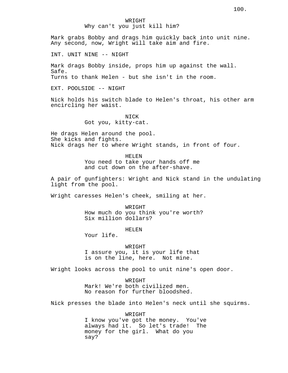Mark grabs Bobby and drags him quickly back into unit nine. Any second, now, Wright will take aim and fire.

INT. UNIT NINE -- NIGHT

Mark drags Bobby inside, props him up against the wall. Safe. Turns to thank Helen - but she isn't in the room.

EXT. POOLSIDE -- NIGHT

Nick holds his switch blade to Helen's throat, his other arm encircling her waist.

> NICK Got you, kitty-cat.

He drags Helen around the pool. She kicks and fights. Nick drags her to where Wright stands, in front of four.

> HELEN You need to take your hands off me and cut down on the after-shave.

A pair of gunfighters: Wright and Nick stand in the undulating light from the pool.

Wright caresses Helen's cheek, smiling at her.

WRIGHT

How much do you think you're worth? Six million dollars?

HELEN

Your life.

WRIGHT I assure you, it is your life that is on the line, here. Not mine.

Wright looks across the pool to unit nine's open door.

WRIGHT Mark! We're both civilized men.

No reason for further bloodshed.

Nick presses the blade into Helen's neck until she squirms.

WRIGHT I know you've got the money. You've always had it. So let's trade! The money for the girl. What do you say?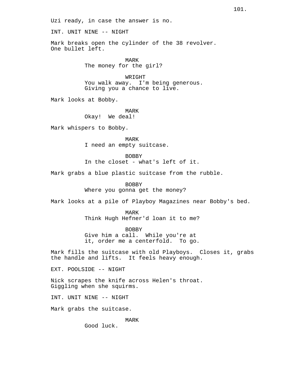Uzi ready, in case the answer is no.

INT. UNIT NINE -- NIGHT

Mark breaks open the cylinder of the 38 revolver. One bullet left.

> MARK The money for the girl?

WRIGHT You walk away. I'm being generous. Giving you a chance to live.

Mark looks at Bobby.

MARK Okay! We deal!

Mark whispers to Bobby.

MARK I need an empty suitcase.

BOBBY In the closet - what's left of it.

Mark grabs a blue plastic suitcase from the rubble.

BOBBY Where you gonna get the money?

Mark looks at a pile of Playboy Magazines near Bobby's bed.

MARK Think Hugh Hefner'd loan it to me?

BOBBY Give him a call. While you're at it, order me a centerfold. To go.

Mark fills the suitcase with old Playboys. Closes it, grabs the handle and lifts. It feels heavy enough.

EXT. POOLSIDE -- NIGHT

Nick scrapes the knife across Helen's throat. Giggling when she squirms.

INT. UNIT NINE -- NIGHT

Mark grabs the suitcase.

MARK

Good luck.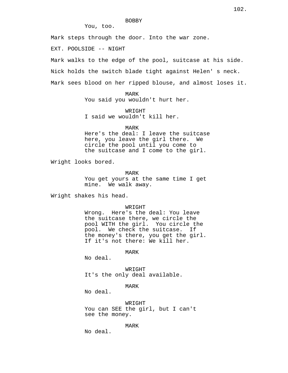### BOBBY

You, too.

Mark steps through the door. Into the war zone.

EXT. POOLSIDE -- NIGHT

Mark walks to the edge of the pool, suitcase at his side.

Nick holds the switch blade tight against Helen' s neck.

Mark sees blood on her ripped blouse, and almost loses it.

MARK You said you wouldn't hurt her.

WRIGHT I said we wouldn't kill her.

MARK

Here's the deal: I leave the suitcase here, you leave the girl there. We circle the pool until you come to the suitcase and I come to the girl.

Wright looks bored.

MARK

You get yours at the same time I get mine. We walk away.

Wright shakes his head.

WRIGHT

Wrong. Here's the deal: You leave the suitcase there, we circle the pool WITH the girl. You circle the pool. We check the suitcase. If the money's there, you get the girl. If it's not there: We kill her.

MARK

No deal.

WRIGHT It's the only deal available.

MARK

No deal.

WRIGHT You can SEE the girl, but I can't see the money.

MARK

No deal.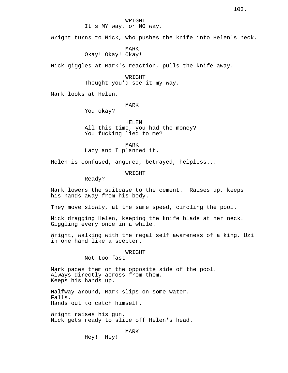# It's MY way, or NO way.

Wright turns to Nick, who pushes the knife into Helen's neck.

MARK

# Okay! Okay! Okay!

Nick giggles at Mark's reaction, pulls the knife away.

WRIGHT Thought you'd see it my way.

Mark looks at Helen.

#### MARK

You okay?

HELEN All this time, you had the money? You fucking lied to me?

MARK Lacy and I planned it.

Helen is confused, angered, betrayed, helpless...

WRIGHT

Ready?

Mark lowers the suitcase to the cement. Raises up, keeps his hands away from his body.

They move slowly, at the same speed, circling the pool.

Nick dragging Helen, keeping the knife blade at her neck. Giggling every once in a while.

Wright, walking with the regal self awareness of a king, Uzi in one hand like a scepter.

#### WRIGHT

Not too fast.

Mark paces them on the opposite side of the pool. Always directly across from them. Keeps his hands up.

Halfway around, Mark slips on some water. Falls. Hands out to catch himself.

Wright raises his gun. Nick gets ready to slice off Helen's head.

MARK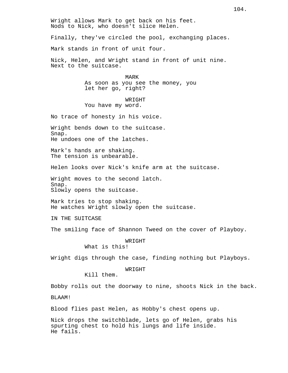Wright allows Mark to get back on his feet. Nods to Nick, who doesn't slice Helen.

Finally, they've circled the pool, exchanging places.

Mark stands in front of unit four.

Nick, Helen, and Wright stand in front of unit nine. Next to the suitcase.

> MARK As soon as you see the money, you let her go, right?

# WR TGHT You have my word.

No trace of honesty in his voice.

Wright bends down to the suitcase. Snap. He undoes one of the latches.

Mark's hands are shaking. The tension is unbearable.

Helen looks over Nick's knife arm at the suitcase.

Wright moves to the second latch. Snap. Slowly opens the suitcase.

Mark tries to stop shaking. He watches Wright slowly open the suitcase.

IN THE SUITCASE

The smiling face of Shannon Tweed on the cover of Playboy.

## WRIGHT

What is this!

Wright digs through the case, finding nothing but Playboys.

#### WRIGHT

Kill them.

Bobby rolls out the doorway to nine, shoots Nick in the back.

BLAAM!

Blood flies past Helen, as Hobby's chest opens up.

Nick drops the switchblade, lets go of Helen, grabs his spurting chest to hold his lungs and life inside. He fails.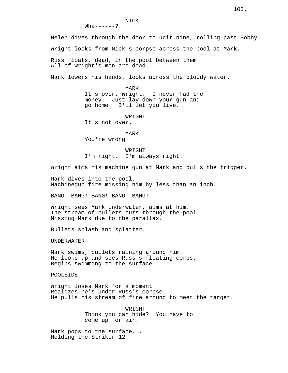NICK  $Wha-----?$ 

Helen dives through the door to unit nine, rolling past Bobby.

Wright looks from Nick's corpse across the pool at Mark.

Russ floats, dead, in the pool between them. All of Wright's men are dead.

Mark lowers his hands, looks across the bloody water.

MARK It's over, Wright. I never had the money. Just lay down your gun and go home. I'll let you live.

WRIGHT

It's not over.

#### MARK

You're wrong.

WRIGHT I'm right. I'm always right.

Wright aims his machine gun at Mark and pulls the trigger.

Mark dives into the pool. Machinegun fire missing him by less than an inch.

BANG! BANG! BANG! BANG! BANG!

Wright sees Mark underwater, aims at him. The stream of bullets cuts through the pool. Missing Mark due to the parallax.

Bullets splash and splatter.

UNDERWATER

Mark swims, bullets raining around him. He looks up and sees Russ's floating corps. Begins swimming to the surface.

POOLSIDE

Wright loses Mark for a moment. Realizes he's under Russ's corpse. He pulls his stream of fire around to meet the target.

> WRIGHT Think you can hide? You have to come up for air.

Mark pops to the surface... Holding the Striker 12.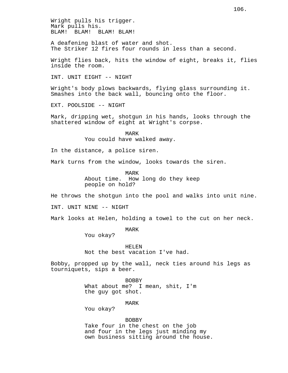Wright pulls his trigger. Mark pulls his. BLAM! BLAM! BLAM! BLAM!

A deafening blast of water and shot. The Striker 12 fires four rounds in less than a second.

Wright flies back, hits the window of eight, breaks it, flies inside the room.

INT. UNIT EIGHT -- NIGHT

Wright's body plows backwards, flying glass surrounding it. Smashes into the back wall, bouncing onto the floor.

EXT. POOLSIDE -- NIGHT

Mark, dripping wet, shotgun in his hands, looks through the shattered window of eight at Wright's corpse.

> MARK You could have walked away.

In the distance, a police siren.

Mark turns from the window, looks towards the siren.

MARK About time. How long do they keep people on hold?

He throws the shotgun into the pool and walks into unit nine.

INT. UNIT NINE -- NIGHT

Mark looks at Helen, holding a towel to the cut on her neck.

MARK

You okay?

HELEN Not the best vacation I've had.

Bobby, propped up by the wall, neck ties around his legs as tourniquets, sips a beer.

> BOBBY What about me? I mean, shit, I'm the guy got shot.

> > MARK

You okay?

BOBBY Take four in the chest on the job and four in the legs just minding my own business sitting around the house.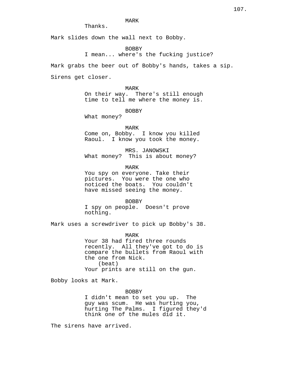# MARK

Thanks.

Mark slides down the wall next to Bobby.

BOBBY

I mean... where's the fucking justice?

Mark grabs the beer out of Bobby's hands, takes a sip.

Sirens get closer.

MARK On their way. There's still enough time to tell me where the money is.

BOBBY

What money?

MARK Come on, Bobby. I know you killed Raoul. I know you took the money.

MRS. JANOWSKI What money? This is about money?

MARK

You spy on everyone. Take their pictures. You were the one who noticed the boats. You couldn't have missed seeing the money.

BOBBY

I spy on people. Doesn't prove nothing.

Mark uses a screwdriver to pick up Bobby's 38.

MARK Your 38 had fired three rounds recently. All they've got to do is compare the bullets from Raoul with the one from Nick. (beat) Your prints are still on the gun.

Bobby looks at Mark.

BOBBY

I didn't mean to set you up. The guy was scum. He was hurting you, hurting The Palms. I figured they'd think one of the mules did it.

The sirens have arrived.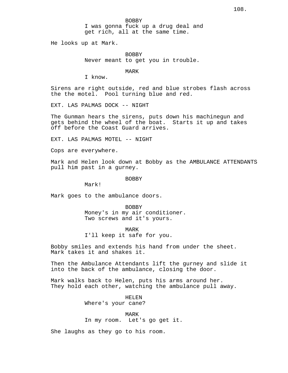BOBBY I was gonna fuck up a drug deal and get rich, all at the same time.

He looks up at Mark.

BOBBY Never meant to get you in trouble.

MARK

I know.

Sirens are right outside, red and blue strobes flash across the the motel. Pool turning blue and red.

EXT. LAS PALMAS DOCK -- NIGHT

The Gunman hears the sirens, puts down his machinegun and gets behind the wheel of the boat. Starts it up and takes off before the Coast Guard arrives.

EXT. LAS PALMAS MOTEL -- NIGHT

Cops are everywhere.

Mark and Helen look down at Bobby as the AMBULANCE ATTENDANTS pull him past in a gurney.

BOBBY

Mark!

Mark goes to the ambulance doors.

BOBBY Money's in my air conditioner. Two screws and it's yours.

MARK

I'll keep it safe for you.

Bobby smiles and extends his hand from under the sheet. Mark takes it and shakes it.

Then the Ambulance Attendants lift the gurney and slide it into the back of the ambulance, closing the door.

Mark walks back to Helen, puts his arms around her. They hold each other, watching the ambulance pull away.

> HELEN Where's your cane?

> > MARK

In my room. Let's go get it.

She laughs as they go to his room.